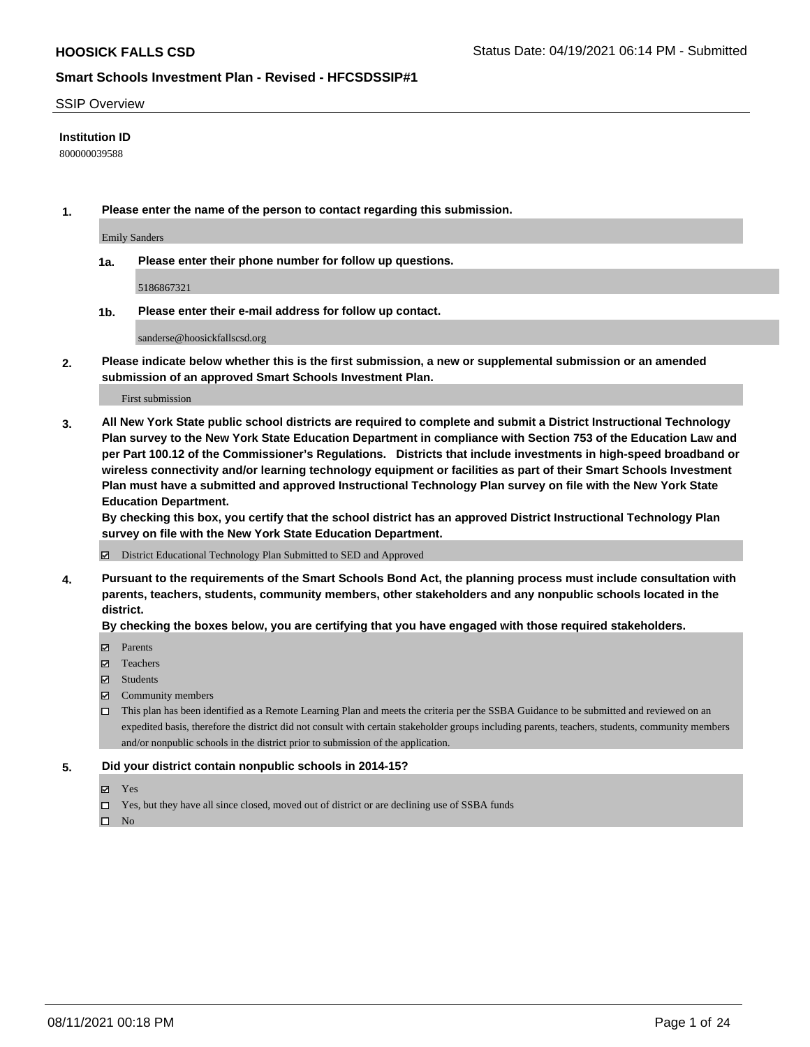#### SSIP Overview

#### **Institution ID**

800000039588

**1. Please enter the name of the person to contact regarding this submission.**

Emily Sanders

**1a. Please enter their phone number for follow up questions.**

5186867321

**1b. Please enter their e-mail address for follow up contact.**

sanderse@hoosickfallscsd.org

**2. Please indicate below whether this is the first submission, a new or supplemental submission or an amended submission of an approved Smart Schools Investment Plan.**

#### First submission

**3. All New York State public school districts are required to complete and submit a District Instructional Technology Plan survey to the New York State Education Department in compliance with Section 753 of the Education Law and per Part 100.12 of the Commissioner's Regulations. Districts that include investments in high-speed broadband or wireless connectivity and/or learning technology equipment or facilities as part of their Smart Schools Investment Plan must have a submitted and approved Instructional Technology Plan survey on file with the New York State Education Department.** 

**By checking this box, you certify that the school district has an approved District Instructional Technology Plan survey on file with the New York State Education Department.**

District Educational Technology Plan Submitted to SED and Approved

**4. Pursuant to the requirements of the Smart Schools Bond Act, the planning process must include consultation with parents, teachers, students, community members, other stakeholders and any nonpublic schools located in the district.** 

#### **By checking the boxes below, you are certifying that you have engaged with those required stakeholders.**

- **Parents**
- Teachers
- Students
- $\boxtimes$  Community members
- This plan has been identified as a Remote Learning Plan and meets the criteria per the SSBA Guidance to be submitted and reviewed on an expedited basis, therefore the district did not consult with certain stakeholder groups including parents, teachers, students, community members and/or nonpublic schools in the district prior to submission of the application.
- **5. Did your district contain nonpublic schools in 2014-15?**
	- Yes
	- □ Yes, but they have all since closed, moved out of district or are declining use of SSBA funds

 $\Box$  No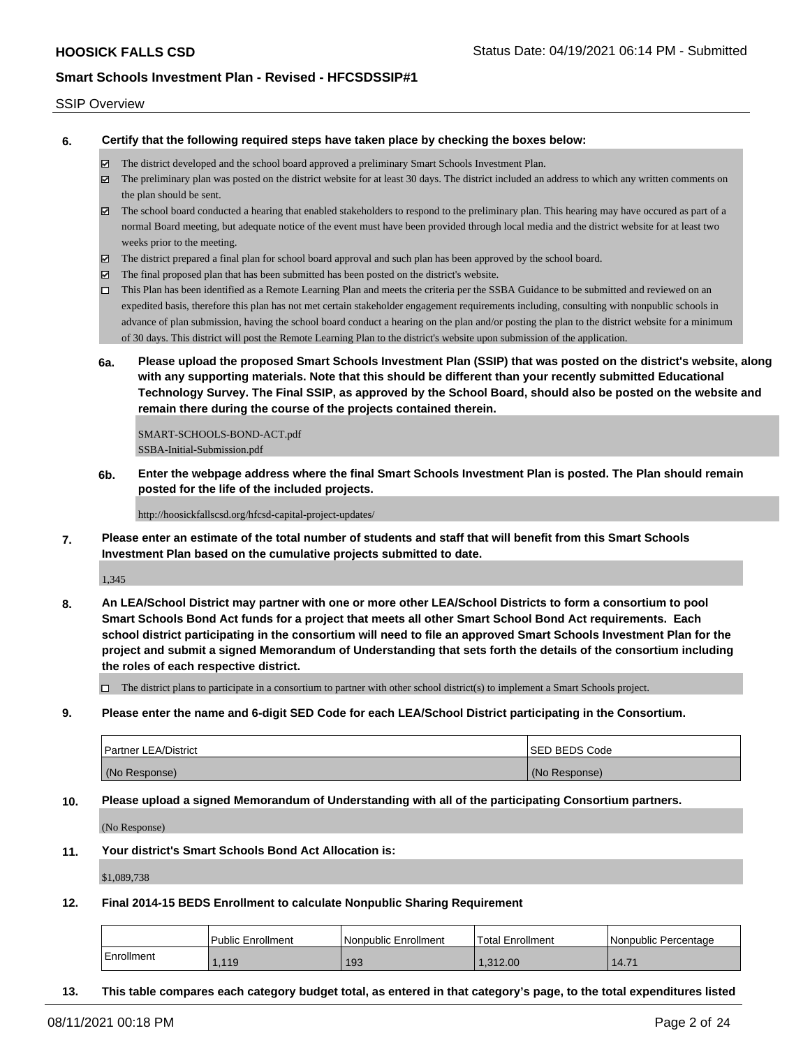#### SSIP Overview

**6. Certify that the following required steps have taken place by checking the boxes below:**

- The district developed and the school board approved a preliminary Smart Schools Investment Plan.
- The preliminary plan was posted on the district website for at least 30 days. The district included an address to which any written comments on the plan should be sent.
- $\boxtimes$  The school board conducted a hearing that enabled stakeholders to respond to the preliminary plan. This hearing may have occured as part of a normal Board meeting, but adequate notice of the event must have been provided through local media and the district website for at least two weeks prior to the meeting.
- The district prepared a final plan for school board approval and such plan has been approved by the school board.
- $\boxtimes$  The final proposed plan that has been submitted has been posted on the district's website.
- This Plan has been identified as a Remote Learning Plan and meets the criteria per the SSBA Guidance to be submitted and reviewed on an expedited basis, therefore this plan has not met certain stakeholder engagement requirements including, consulting with nonpublic schools in advance of plan submission, having the school board conduct a hearing on the plan and/or posting the plan to the district website for a minimum of 30 days. This district will post the Remote Learning Plan to the district's website upon submission of the application.
- **6a. Please upload the proposed Smart Schools Investment Plan (SSIP) that was posted on the district's website, along with any supporting materials. Note that this should be different than your recently submitted Educational Technology Survey. The Final SSIP, as approved by the School Board, should also be posted on the website and remain there during the course of the projects contained therein.**

SMART-SCHOOLS-BOND-ACT.pdf SSBA-Initial-Submission.pdf

**6b. Enter the webpage address where the final Smart Schools Investment Plan is posted. The Plan should remain posted for the life of the included projects.**

http://hoosickfallscsd.org/hfcsd-capital-project-updates/

**7. Please enter an estimate of the total number of students and staff that will benefit from this Smart Schools Investment Plan based on the cumulative projects submitted to date.**

1,345

**8. An LEA/School District may partner with one or more other LEA/School Districts to form a consortium to pool Smart Schools Bond Act funds for a project that meets all other Smart School Bond Act requirements. Each school district participating in the consortium will need to file an approved Smart Schools Investment Plan for the project and submit a signed Memorandum of Understanding that sets forth the details of the consortium including the roles of each respective district.**

 $\Box$  The district plans to participate in a consortium to partner with other school district(s) to implement a Smart Schools project.

**9. Please enter the name and 6-digit SED Code for each LEA/School District participating in the Consortium.**

| <b>Partner LEA/District</b> | <b>ISED BEDS Code</b> |
|-----------------------------|-----------------------|
| (No Response)               | (No Response)         |

**10. Please upload a signed Memorandum of Understanding with all of the participating Consortium partners.**

(No Response)

**11. Your district's Smart Schools Bond Act Allocation is:**

\$1,089,738

**12. Final 2014-15 BEDS Enrollment to calculate Nonpublic Sharing Requirement**

|            | Public Enrollment | Nonpublic Enrollment | 'Total Enrollment | l Nonpublic Percentage |
|------------|-------------------|----------------------|-------------------|------------------------|
| Enrollment | l.119             | 193                  | 1.312.00          | 14.71                  |

**13. This table compares each category budget total, as entered in that category's page, to the total expenditures listed**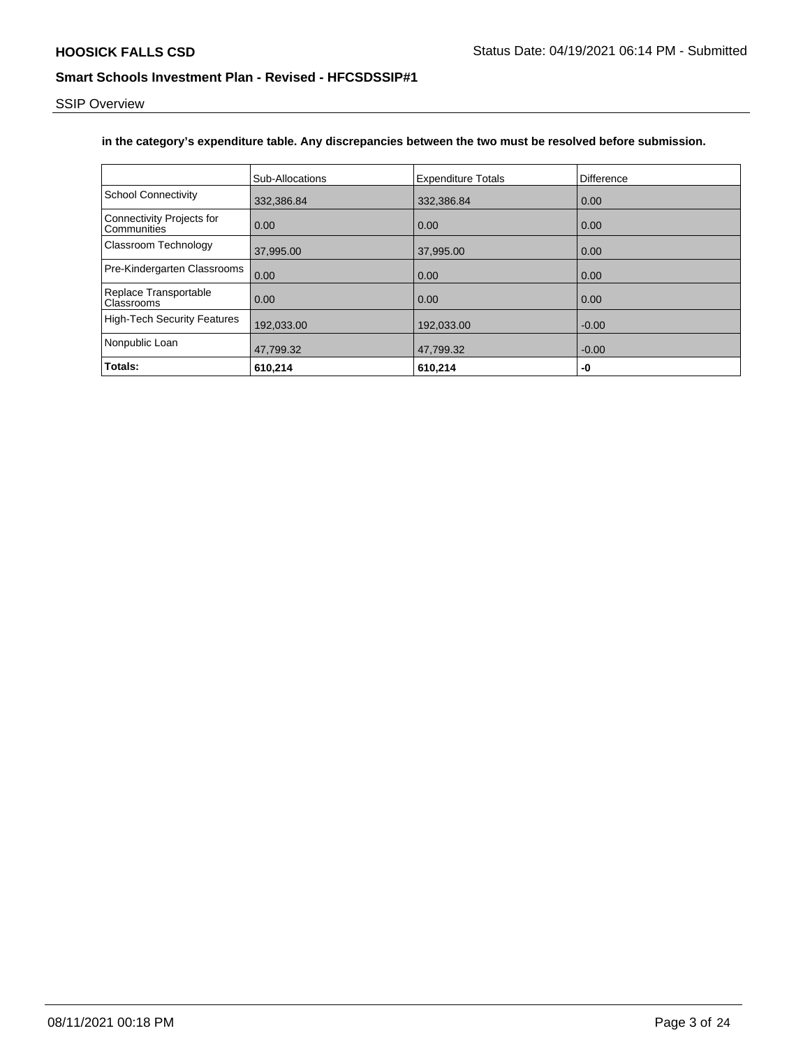SSIP Overview

### **in the category's expenditure table. Any discrepancies between the two must be resolved before submission.**

|                                          | Sub-Allocations | <b>Expenditure Totals</b> | Difference |
|------------------------------------------|-----------------|---------------------------|------------|
| <b>School Connectivity</b>               | 332,386.84      | 332,386.84                | 0.00       |
| Connectivity Projects for<br>Communities | 0.00            | 0.00                      | 0.00       |
| Classroom Technology                     | 37,995.00       | 37,995.00                 | 0.00       |
| Pre-Kindergarten Classrooms              | 0.00            | 0.00                      | 0.00       |
| Replace Transportable<br>Classrooms      | 0.00            | 0.00                      | 0.00       |
| High-Tech Security Features              | 192,033.00      | 192,033.00                | $-0.00$    |
| Nonpublic Loan                           | 47,799.32       | 47,799.32                 | $-0.00$    |
| Totals:                                  | 610,214         | 610,214                   | -0         |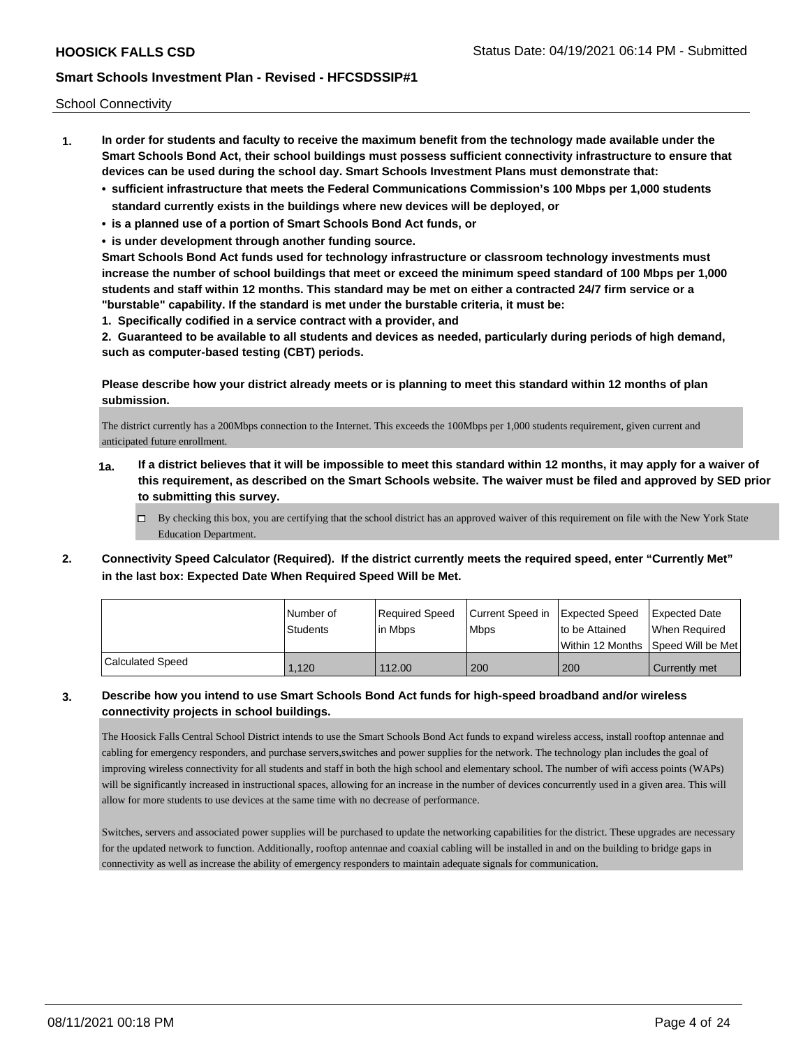School Connectivity

- **1. In order for students and faculty to receive the maximum benefit from the technology made available under the Smart Schools Bond Act, their school buildings must possess sufficient connectivity infrastructure to ensure that devices can be used during the school day. Smart Schools Investment Plans must demonstrate that:**
	- **• sufficient infrastructure that meets the Federal Communications Commission's 100 Mbps per 1,000 students standard currently exists in the buildings where new devices will be deployed, or**
	- **• is a planned use of a portion of Smart Schools Bond Act funds, or**
	- **• is under development through another funding source.**

**Smart Schools Bond Act funds used for technology infrastructure or classroom technology investments must increase the number of school buildings that meet or exceed the minimum speed standard of 100 Mbps per 1,000 students and staff within 12 months. This standard may be met on either a contracted 24/7 firm service or a "burstable" capability. If the standard is met under the burstable criteria, it must be:**

**1. Specifically codified in a service contract with a provider, and**

**2. Guaranteed to be available to all students and devices as needed, particularly during periods of high demand, such as computer-based testing (CBT) periods.**

**Please describe how your district already meets or is planning to meet this standard within 12 months of plan submission.**

The district currently has a 200Mbps connection to the Internet. This exceeds the 100Mbps per 1,000 students requirement, given current and anticipated future enrollment.

- **1a. If a district believes that it will be impossible to meet this standard within 12 months, it may apply for a waiver of this requirement, as described on the Smart Schools website. The waiver must be filed and approved by SED prior to submitting this survey.**
	- $\Box$  By checking this box, you are certifying that the school district has an approved waiver of this requirement on file with the New York State Education Department.
- **2. Connectivity Speed Calculator (Required). If the district currently meets the required speed, enter "Currently Met" in the last box: Expected Date When Required Speed Will be Met.**

|                  | l Number of<br><b>Students</b> | Required Speed<br>lin Mbps | Current Speed in Expected Speed<br><b>Mbps</b> | Ito be Attained | <b>Expected Date</b><br>When Required   |
|------------------|--------------------------------|----------------------------|------------------------------------------------|-----------------|-----------------------------------------|
|                  |                                |                            |                                                |                 | l Within 12 Months ISpeed Will be Met l |
| Calculated Speed | 1,120                          | 112.00                     | 200                                            | 200             | Currently met                           |

### **3. Describe how you intend to use Smart Schools Bond Act funds for high-speed broadband and/or wireless connectivity projects in school buildings.**

The Hoosick Falls Central School District intends to use the Smart Schools Bond Act funds to expand wireless access, install rooftop antennae and cabling for emergency responders, and purchase servers,switches and power supplies for the network. The technology plan includes the goal of improving wireless connectivity for all students and staff in both the high school and elementary school. The number of wifi access points (WAPs) will be significantly increased in instructional spaces, allowing for an increase in the number of devices concurrently used in a given area. This will allow for more students to use devices at the same time with no decrease of performance.

Switches, servers and associated power supplies will be purchased to update the networking capabilities for the district. These upgrades are necessary for the updated network to function. Additionally, rooftop antennae and coaxial cabling will be installed in and on the building to bridge gaps in connectivity as well as increase the ability of emergency responders to maintain adequate signals for communication.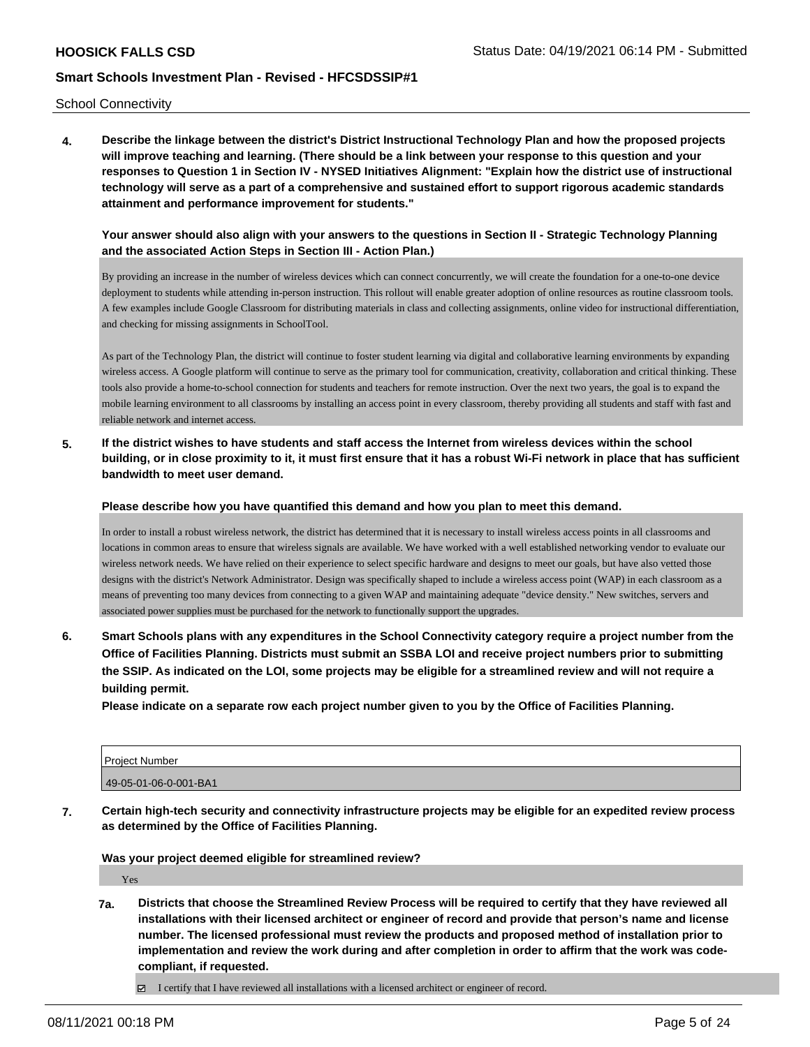School Connectivity

**4. Describe the linkage between the district's District Instructional Technology Plan and how the proposed projects will improve teaching and learning. (There should be a link between your response to this question and your responses to Question 1 in Section IV - NYSED Initiatives Alignment: "Explain how the district use of instructional technology will serve as a part of a comprehensive and sustained effort to support rigorous academic standards attainment and performance improvement for students."** 

**Your answer should also align with your answers to the questions in Section II - Strategic Technology Planning and the associated Action Steps in Section III - Action Plan.)**

By providing an increase in the number of wireless devices which can connect concurrently, we will create the foundation for a one-to-one device deployment to students while attending in-person instruction. This rollout will enable greater adoption of online resources as routine classroom tools. A few examples include Google Classroom for distributing materials in class and collecting assignments, online video for instructional differentiation, and checking for missing assignments in SchoolTool.

As part of the Technology Plan, the district will continue to foster student learning via digital and collaborative learning environments by expanding wireless access. A Google platform will continue to serve as the primary tool for communication, creativity, collaboration and critical thinking. These tools also provide a home-to-school connection for students and teachers for remote instruction. Over the next two years, the goal is to expand the mobile learning environment to all classrooms by installing an access point in every classroom, thereby providing all students and staff with fast and reliable network and internet access.

**5. If the district wishes to have students and staff access the Internet from wireless devices within the school building, or in close proximity to it, it must first ensure that it has a robust Wi-Fi network in place that has sufficient bandwidth to meet user demand.**

**Please describe how you have quantified this demand and how you plan to meet this demand.**

In order to install a robust wireless network, the district has determined that it is necessary to install wireless access points in all classrooms and locations in common areas to ensure that wireless signals are available. We have worked with a well established networking vendor to evaluate our wireless network needs. We have relied on their experience to select specific hardware and designs to meet our goals, but have also vetted those designs with the district's Network Administrator. Design was specifically shaped to include a wireless access point (WAP) in each classroom as a means of preventing too many devices from connecting to a given WAP and maintaining adequate "device density." New switches, servers and associated power supplies must be purchased for the network to functionally support the upgrades.

**6. Smart Schools plans with any expenditures in the School Connectivity category require a project number from the Office of Facilities Planning. Districts must submit an SSBA LOI and receive project numbers prior to submitting the SSIP. As indicated on the LOI, some projects may be eligible for a streamlined review and will not require a building permit.**

**Please indicate on a separate row each project number given to you by the Office of Facilities Planning.**

| Project Number        |  |
|-----------------------|--|
| 49-05-01-06-0-001-BA1 |  |

**7. Certain high-tech security and connectivity infrastructure projects may be eligible for an expedited review process as determined by the Office of Facilities Planning.**

**Was your project deemed eligible for streamlined review?**

Yes

**7a. Districts that choose the Streamlined Review Process will be required to certify that they have reviewed all installations with their licensed architect or engineer of record and provide that person's name and license number. The licensed professional must review the products and proposed method of installation prior to implementation and review the work during and after completion in order to affirm that the work was codecompliant, if requested.**

 $\boxtimes$  I certify that I have reviewed all installations with a licensed architect or engineer of record.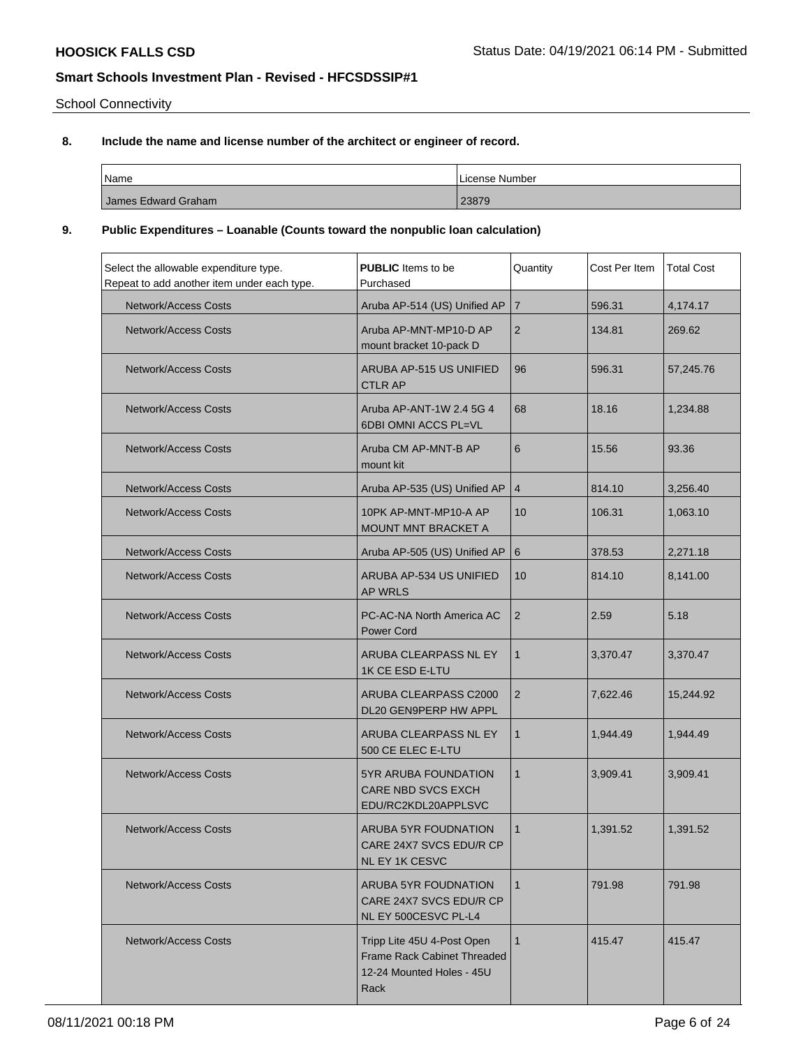School Connectivity

# **8. Include the name and license number of the architect or engineer of record.**

| Name                | License Number |
|---------------------|----------------|
| James Edward Graham | 23879          |

### **9. Public Expenditures – Loanable (Counts toward the nonpublic loan calculation)**

| Select the allowable expenditure type.<br>Repeat to add another item under each type. | <b>PUBLIC</b> Items to be<br>Purchased                                                         | Quantity       | Cost Per Item | <b>Total Cost</b> |
|---------------------------------------------------------------------------------------|------------------------------------------------------------------------------------------------|----------------|---------------|-------------------|
| Network/Access Costs                                                                  | Aruba AP-514 (US) Unified AP                                                                   | $\overline{7}$ | 596.31        | 4,174.17          |
| Network/Access Costs                                                                  | Aruba AP-MNT-MP10-D AP<br>mount bracket 10-pack D                                              | $\overline{2}$ | 134.81        | 269.62            |
| <b>Network/Access Costs</b>                                                           | ARUBA AP-515 US UNIFIED<br><b>CTLR AP</b>                                                      | 96             | 596.31        | 57,245.76         |
| <b>Network/Access Costs</b>                                                           | Aruba AP-ANT-1W 2.4 5G 4<br>6DBI OMNI ACCS PL=VL                                               | 68             | 18.16         | 1,234.88          |
| <b>Network/Access Costs</b>                                                           | Aruba CM AP-MNT-B AP<br>mount kit                                                              | 6              | 15.56         | 93.36             |
| <b>Network/Access Costs</b>                                                           | Aruba AP-535 (US) Unified AP                                                                   | $\overline{4}$ | 814.10        | 3,256.40          |
| <b>Network/Access Costs</b>                                                           | 10PK AP-MNT-MP10-A AP<br>MOUNT MNT BRACKET A                                                   | 10             | 106.31        | 1,063.10          |
| <b>Network/Access Costs</b>                                                           | Aruba AP-505 (US) Unified AP                                                                   | 6              | 378.53        | 2,271.18          |
| <b>Network/Access Costs</b>                                                           | ARUBA AP-534 US UNIFIED<br><b>AP WRLS</b>                                                      | 10             | 814.10        | 8,141.00          |
| <b>Network/Access Costs</b>                                                           | PC-AC-NA North America AC<br><b>Power Cord</b>                                                 | $\overline{2}$ | 2.59          | 5.18              |
| Network/Access Costs                                                                  | ARUBA CLEARPASS NL EY<br>1K CE ESD E-LTU                                                       | 1              | 3,370.47      | 3,370.47          |
| <b>Network/Access Costs</b>                                                           | ARUBA CLEARPASS C2000<br>DL20 GEN9PERP HW APPL                                                 | $\overline{2}$ | 7,622.46      | 15,244.92         |
| Network/Access Costs                                                                  | ARUBA CLEARPASS NL EY<br>500 CE ELEC E-LTU                                                     | $\mathbf{1}$   | 1,944.49      | 1,944.49          |
| <b>Network/Access Costs</b>                                                           | <b>5YR ARUBA FOUNDATION</b><br>CARE NBD SVCS EXCH<br>EDU/RC2KDL20APPLSVC                       | $\mathbf{1}$   | 3,909.41      | 3,909.41          |
| <b>Network/Access Costs</b>                                                           | <b>ARUBA 5YR FOUDNATION</b><br>CARE 24X7 SVCS EDU/R CP<br><b>NL EY 1K CESVC</b>                | $\mathbf{1}$   | 1,391.52      | 1.391.52          |
| <b>Network/Access Costs</b>                                                           | ARUBA 5YR FOUDNATION<br>CARE 24X7 SVCS EDU/R CP<br>NL EY 500CESVC PL-L4                        | $\mathbf{1}$   | 791.98        | 791.98            |
| <b>Network/Access Costs</b>                                                           | Tripp Lite 45U 4-Post Open<br>Frame Rack Cabinet Threaded<br>12-24 Mounted Holes - 45U<br>Rack | $\mathbf{1}$   | 415.47        | 415.47            |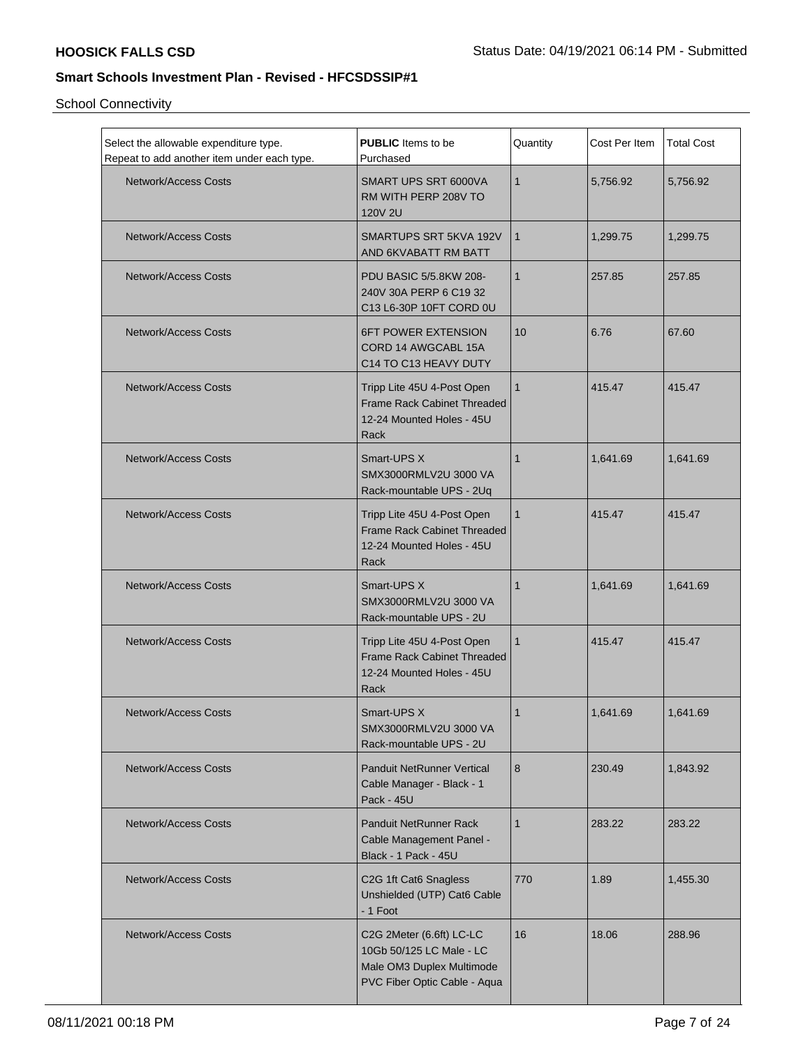School Connectivity

| Select the allowable expenditure type.<br>Repeat to add another item under each type. | <b>PUBLIC</b> Items to be<br>Purchased                                                                            | Quantity     | Cost Per Item | <b>Total Cost</b> |
|---------------------------------------------------------------------------------------|-------------------------------------------------------------------------------------------------------------------|--------------|---------------|-------------------|
| Network/Access Costs                                                                  | SMART UPS SRT 6000VA<br>RM WITH PERP 208V TO<br><b>120V 2U</b>                                                    | $\mathbf{1}$ | 5,756.92      | 5,756.92          |
| Network/Access Costs                                                                  | SMARTUPS SRT 5KVA 192V<br>AND 6KVABATT RM BATT                                                                    | $\mathbf{1}$ | 1,299.75      | 1,299.75          |
| Network/Access Costs                                                                  | PDU BASIC 5/5.8KW 208-<br>240V 30A PERP 6 C19 32<br>C13 L6-30P 10FT CORD 0U                                       | $\mathbf{1}$ | 257.85        | 257.85            |
| <b>Network/Access Costs</b>                                                           | <b>6FT POWER EXTENSION</b><br>CORD 14 AWGCABL 15A<br>C14 TO C13 HEAVY DUTY                                        | 10           | 6.76          | 67.60             |
| Network/Access Costs                                                                  | Tripp Lite 45U 4-Post Open<br>Frame Rack Cabinet Threaded<br>12-24 Mounted Holes - 45U<br>Rack                    | $\mathbf{1}$ | 415.47        | 415.47            |
| <b>Network/Access Costs</b>                                                           | Smart-UPS X<br>SMX3000RMLV2U 3000 VA<br>Rack-mountable UPS - 2Uq                                                  | $\mathbf{1}$ | 1,641.69      | 1,641.69          |
| Network/Access Costs                                                                  | Tripp Lite 45U 4-Post Open<br>Frame Rack Cabinet Threaded<br>12-24 Mounted Holes - 45U<br>Rack                    | $\mathbf{1}$ | 415.47        | 415.47            |
| <b>Network/Access Costs</b>                                                           | Smart-UPS X<br>SMX3000RMLV2U 3000 VA<br>Rack-mountable UPS - 2U                                                   | $\mathbf{1}$ | 1,641.69      | 1,641.69          |
| <b>Network/Access Costs</b>                                                           | Tripp Lite 45U 4-Post Open<br><b>Frame Rack Cabinet Threaded</b><br>12-24 Mounted Holes - 45U<br>Rack             | $\mathbf{1}$ | 415.47        | 415.47            |
| Network/Access Costs                                                                  | Smart-UPS X<br>SMX3000RMLV2U 3000 VA<br>Rack-mountable UPS - 2U                                                   | 1            | 1.641.69      | 1,641.69          |
| <b>Network/Access Costs</b>                                                           | <b>Panduit NetRunner Vertical</b><br>Cable Manager - Black - 1<br><b>Pack - 45U</b>                               | 8            | 230.49        | 1,843.92          |
| Network/Access Costs                                                                  | Panduit NetRunner Rack<br>Cable Management Panel -<br>Black - 1 Pack - 45U                                        | $\mathbf{1}$ | 283.22        | 283.22            |
| <b>Network/Access Costs</b>                                                           | C2G 1ft Cat6 Snagless<br>Unshielded (UTP) Cat6 Cable<br>- 1 Foot                                                  | 770          | 1.89          | 1,455.30          |
| Network/Access Costs                                                                  | C2G 2Meter (6.6ft) LC-LC<br>10Gb 50/125 LC Male - LC<br>Male OM3 Duplex Multimode<br>PVC Fiber Optic Cable - Aqua | 16           | 18.06         | 288.96            |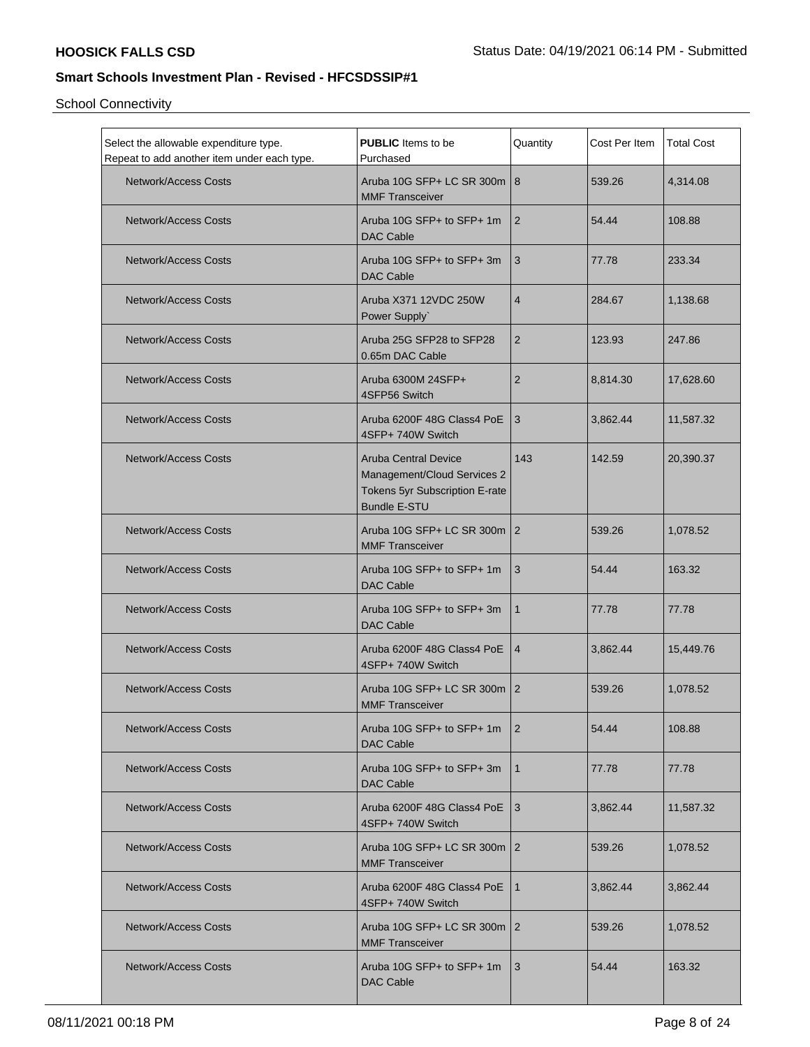School Connectivity

| Select the allowable expenditure type.<br>Repeat to add another item under each type. | <b>PUBLIC</b> Items to be<br>Purchased                                                                              | Quantity        | Cost Per Item | <b>Total Cost</b> |
|---------------------------------------------------------------------------------------|---------------------------------------------------------------------------------------------------------------------|-----------------|---------------|-------------------|
| <b>Network/Access Costs</b>                                                           | Aruba 10G SFP+ LC SR 300m   8<br><b>MMF Transceiver</b>                                                             |                 | 539.26        | 4,314.08          |
| Network/Access Costs                                                                  | Aruba 10G SFP+ to SFP+ 1m<br><b>DAC Cable</b>                                                                       | <u>2</u>        | 54.44         | 108.88            |
| <b>Network/Access Costs</b>                                                           | Aruba 10G SFP+ to SFP+ 3m<br><b>DAC Cable</b>                                                                       | 3               | 77.78         | 233.34            |
| <b>Network/Access Costs</b>                                                           | Aruba X371 12VDC 250W<br>Power Supply`                                                                              | $\overline{4}$  | 284.67        | 1,138.68          |
| <b>Network/Access Costs</b>                                                           | Aruba 25G SFP28 to SFP28<br>0.65m DAC Cable                                                                         | $\overline{2}$  | 123.93        | 247.86            |
| <b>Network/Access Costs</b>                                                           | Aruba 6300M 24SFP+<br>4SFP56 Switch                                                                                 | $\overline{2}$  | 8,814.30      | 17,628.60         |
| <b>Network/Access Costs</b>                                                           | Aruba 6200F 48G Class4 PoE<br>4SFP+ 740W Switch                                                                     | 3               | 3,862.44      | 11,587.32         |
| Network/Access Costs                                                                  | <b>Aruba Central Device</b><br>Management/Cloud Services 2<br>Tokens 5yr Subscription E-rate<br><b>Bundle E-STU</b> | 143             | 142.59        | 20,390.37         |
| <b>Network/Access Costs</b>                                                           | Aruba 10G SFP+ LC SR 300m   2<br><b>MMF Transceiver</b>                                                             |                 | 539.26        | 1,078.52          |
| <b>Network/Access Costs</b>                                                           | Aruba 10G SFP+ to SFP+ 1m<br><b>DAC Cable</b>                                                                       | 3               | 54.44         | 163.32            |
| <b>Network/Access Costs</b>                                                           | Aruba 10G SFP+ to SFP+ 3m<br><b>DAC Cable</b>                                                                       |                 | 77.78         | 77.78             |
| <b>Network/Access Costs</b>                                                           | Aruba 6200F 48G Class4 PoE<br>4SFP+ 740W Switch                                                                     | $\overline{4}$  | 3,862.44      | 15,449.76         |
| <b>Network/Access Costs</b>                                                           | Aruba 10G SFP+ LC SR 300m   2<br><b>MMF Transceiver</b>                                                             |                 | 539.26        | 1,078.52          |
| <b>Network/Access Costs</b>                                                           | Aruba 10G SFP+ to SFP+ 1m $ 2 $<br>DAC Cable                                                                        |                 | 54.44         | 108.88            |
| <b>Network/Access Costs</b>                                                           | Aruba 10G SFP+ to SFP+ 3m<br>DAC Cable                                                                              | l 1             | 77.78         | 77.78             |
| <b>Network/Access Costs</b>                                                           | Aruba 6200F 48G Class4 PoE 13<br>4SFP+ 740W Switch                                                                  |                 | 3,862.44      | 11,587.32         |
| <b>Network/Access Costs</b>                                                           | Aruba 10G SFP+ LC SR 300m   2<br><b>MMF Transceiver</b>                                                             |                 | 539.26        | 1,078.52          |
| <b>Network/Access Costs</b>                                                           | Aruba 6200F 48G Class4 PoE   1<br>4SFP+ 740W Switch                                                                 |                 | 3,862.44      | 3,862.44          |
| <b>Network/Access Costs</b>                                                           | Aruba 10G SFP+ LC SR 300m   2<br><b>MMF Transceiver</b>                                                             |                 | 539.26        | 1,078.52          |
| <b>Network/Access Costs</b>                                                           | Aruba 10G SFP+ to SFP+ 1m<br>DAC Cable                                                                              | $\vert 3 \vert$ | 54.44         | 163.32            |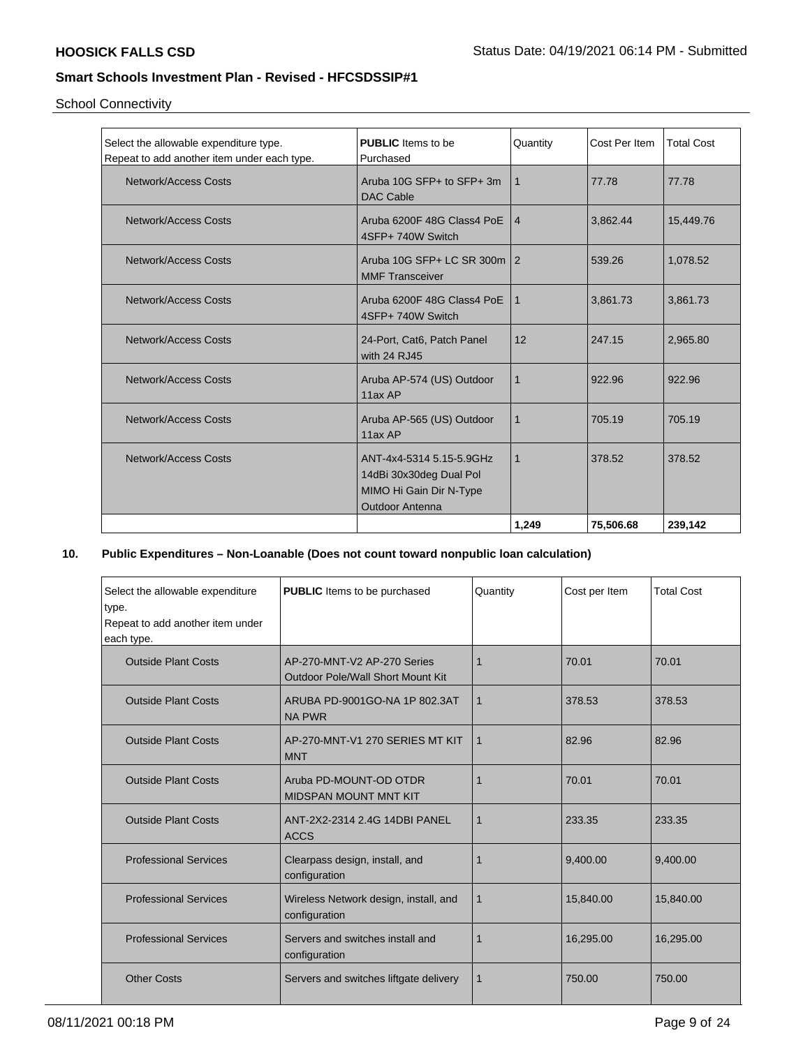School Connectivity

| Select the allowable expenditure type.<br>Repeat to add another item under each type. | <b>PUBLIC</b> Items to be<br>Purchased                                                                   | Quantity        | Cost Per Item | <b>Total Cost</b> |
|---------------------------------------------------------------------------------------|----------------------------------------------------------------------------------------------------------|-----------------|---------------|-------------------|
| Network/Access Costs                                                                  | Aruba 10G SFP+ to SFP+ 3m<br>DAC Cable                                                                   | 1               | 77.78         | 77.78             |
| Network/Access Costs                                                                  | Aruba 6200F 48G Class4 PoE<br>4SFP+ 740W Switch                                                          | $\vert 4 \vert$ | 3,862.44      | 15,449.76         |
| Network/Access Costs                                                                  | Aruba 10G SFP+ LC SR 300m 2<br><b>MMF Transceiver</b>                                                    |                 | 539.26        | 1,078.52          |
| Network/Access Costs                                                                  | Aruba 6200F 48G Class4 PoE<br>4SFP+740W Switch                                                           | $\mathbf{1}$    | 3,861.73      | 3,861.73          |
| Network/Access Costs                                                                  | 24-Port, Cat6, Patch Panel<br>with 24 RJ45                                                               | 12              | 247.15        | 2,965.80          |
| Network/Access Costs                                                                  | Aruba AP-574 (US) Outdoor<br>11ax AP                                                                     | $\mathbf{1}$    | 922.96        | 922.96            |
| Network/Access Costs                                                                  | Aruba AP-565 (US) Outdoor<br>11ax AP                                                                     | $\mathbf{1}$    | 705.19        | 705.19            |
| Network/Access Costs                                                                  | ANT-4x4-5314 5.15-5.9GHz<br>14dBi 30x30deg Dual Pol<br>MIMO Hi Gain Dir N-Type<br><b>Outdoor Antenna</b> | 1               | 378.52        | 378.52            |
|                                                                                       |                                                                                                          | 1,249           | 75,506.68     | 239,142           |

### **10. Public Expenditures – Non-Loanable (Does not count toward nonpublic loan calculation)**

| Select the allowable expenditure<br>type.<br>Repeat to add another item under<br>each type. | <b>PUBLIC</b> Items to be purchased                                     | Quantity    | Cost per Item | <b>Total Cost</b> |
|---------------------------------------------------------------------------------------------|-------------------------------------------------------------------------|-------------|---------------|-------------------|
| <b>Outside Plant Costs</b>                                                                  | AP-270-MNT-V2 AP-270 Series<br><b>Outdoor Pole/Wall Short Mount Kit</b> | 1           | 70.01         | 70.01             |
| <b>Outside Plant Costs</b>                                                                  | ARUBA PD-9001GO-NA 1P 802.3AT<br><b>NA PWR</b>                          | $\mathbf 1$ | 378.53        | 378.53            |
| <b>Outside Plant Costs</b>                                                                  | AP-270-MNT-V1 270 SERIES MT KIT<br><b>MNT</b>                           | $\mathbf 1$ | 82.96         | 82.96             |
| <b>Outside Plant Costs</b>                                                                  | Aruba PD-MOUNT-OD OTDR<br><b>MIDSPAN MOUNT MNT KIT</b>                  | 1           | 70.01         | 70.01             |
| <b>Outside Plant Costs</b>                                                                  | ANT-2X2-2314 2.4G 14DBI PANEL<br><b>ACCS</b>                            | 1           | 233.35        | 233.35            |
| <b>Professional Services</b>                                                                | Clearpass design, install, and<br>configuration                         | 1           | 9,400.00      | 9,400.00          |
| <b>Professional Services</b>                                                                | Wireless Network design, install, and<br>configuration                  | $\mathbf 1$ | 15,840.00     | 15,840.00         |
| <b>Professional Services</b>                                                                | Servers and switches install and<br>configuration                       | 1           | 16,295.00     | 16,295.00         |
| <b>Other Costs</b>                                                                          | Servers and switches liftgate delivery                                  | 1           | 750.00        | 750.00            |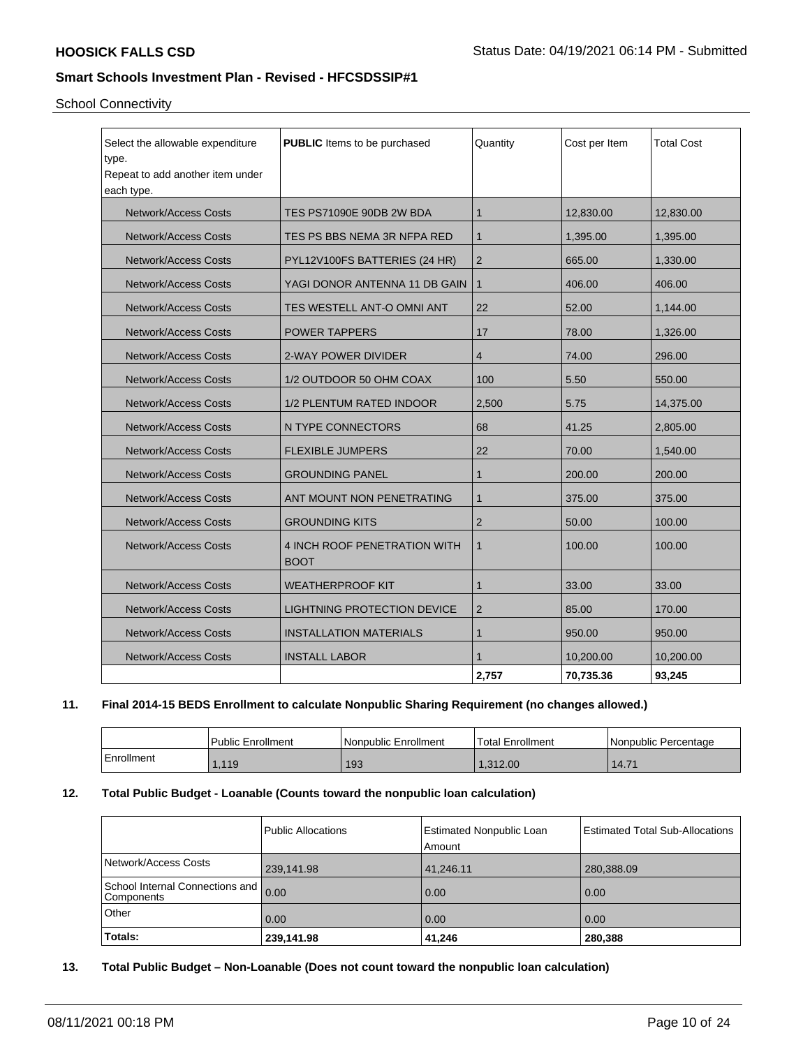School Connectivity

| Select the allowable expenditure<br>type.<br>Repeat to add another item under<br>each type. | <b>PUBLIC</b> Items to be purchased         | Quantity       | Cost per Item | <b>Total Cost</b> |
|---------------------------------------------------------------------------------------------|---------------------------------------------|----------------|---------------|-------------------|
| <b>Network/Access Costs</b>                                                                 | TES PS71090E 90DB 2W BDA                    | 1              | 12,830.00     | 12,830.00         |
| <b>Network/Access Costs</b>                                                                 | TES PS BBS NEMA 3R NFPA RED                 | 1              | 1,395.00      | 1,395.00          |
| <b>Network/Access Costs</b>                                                                 | PYL12V100FS BATTERIES (24 HR)               | $\overline{2}$ | 665.00        | 1,330.00          |
| <b>Network/Access Costs</b>                                                                 | YAGI DONOR ANTENNA 11 DB GAIN               | $\mathbf{1}$   | 406.00        | 406.00            |
| <b>Network/Access Costs</b>                                                                 | TES WESTELL ANT-O OMNI ANT                  | 22             | 52.00         | 1,144.00          |
| <b>Network/Access Costs</b>                                                                 | <b>POWER TAPPERS</b>                        | 17             | 78.00         | 1,326.00          |
| <b>Network/Access Costs</b>                                                                 | 2-WAY POWER DIVIDER                         | 4              | 74.00         | 296.00            |
| <b>Network/Access Costs</b>                                                                 | 1/2 OUTDOOR 50 OHM COAX                     | 100            | 5.50          | 550.00            |
| <b>Network/Access Costs</b>                                                                 | 1/2 PLENTUM RATED INDOOR                    | 2,500          | 5.75          | 14,375.00         |
| <b>Network/Access Costs</b>                                                                 | N TYPE CONNECTORS                           | 68             | 41.25         | 2,805.00          |
| <b>Network/Access Costs</b>                                                                 | <b>FLEXIBLE JUMPERS</b>                     | 22             | 70.00         | 1,540.00          |
| <b>Network/Access Costs</b>                                                                 | <b>GROUNDING PANEL</b>                      | $\mathbf{1}$   | 200.00        | 200.00            |
| <b>Network/Access Costs</b>                                                                 | ANT MOUNT NON PENETRATING                   | $\mathbf{1}$   | 375.00        | 375.00            |
| <b>Network/Access Costs</b>                                                                 | <b>GROUNDING KITS</b>                       | $\overline{2}$ | 50.00         | 100.00            |
| <b>Network/Access Costs</b>                                                                 | 4 INCH ROOF PENETRATION WITH<br><b>BOOT</b> | $\mathbf{1}$   | 100.00        | 100.00            |
| <b>Network/Access Costs</b>                                                                 | <b>WEATHERPROOF KIT</b>                     | $\mathbf{1}$   | 33.00         | 33.00             |
| <b>Network/Access Costs</b>                                                                 | LIGHTNING PROTECTION DEVICE                 | $\overline{2}$ | 85.00         | 170.00            |
| <b>Network/Access Costs</b>                                                                 | <b>INSTALLATION MATERIALS</b>               | $\mathbf{1}$   | 950.00        | 950.00            |
| <b>Network/Access Costs</b>                                                                 | <b>INSTALL LABOR</b>                        | 1              | 10,200.00     | 10,200.00         |
|                                                                                             |                                             | 2.757          | 70,735.36     | 93,245            |

## **11. Final 2014-15 BEDS Enrollment to calculate Nonpublic Sharing Requirement (no changes allowed.)**

|            | l Public Enrollment | Nonpublic Enrollment | Total Enrollment | l Nonpublic Percentage |
|------------|---------------------|----------------------|------------------|------------------------|
| Enrollment | , 119               | 193                  | 0.312.00         | 14.71                  |

## **12. Total Public Budget - Loanable (Counts toward the nonpublic loan calculation)**

|                                               | Public Allocations | <b>Estimated Nonpublic Loan</b><br>l Amount | Estimated Total Sub-Allocations |
|-----------------------------------------------|--------------------|---------------------------------------------|---------------------------------|
| Network/Access Costs                          | 239,141.98         | 41,246.11                                   | 280,388.09                      |
| School Internal Connections and<br>Components | 0.00               | 0.00                                        | 0.00                            |
| Other                                         | 0.00               | 0.00                                        | 0.00                            |
| Totals:                                       | 239,141.98         | 41,246                                      | 280,388                         |

**13. Total Public Budget – Non-Loanable (Does not count toward the nonpublic loan calculation)**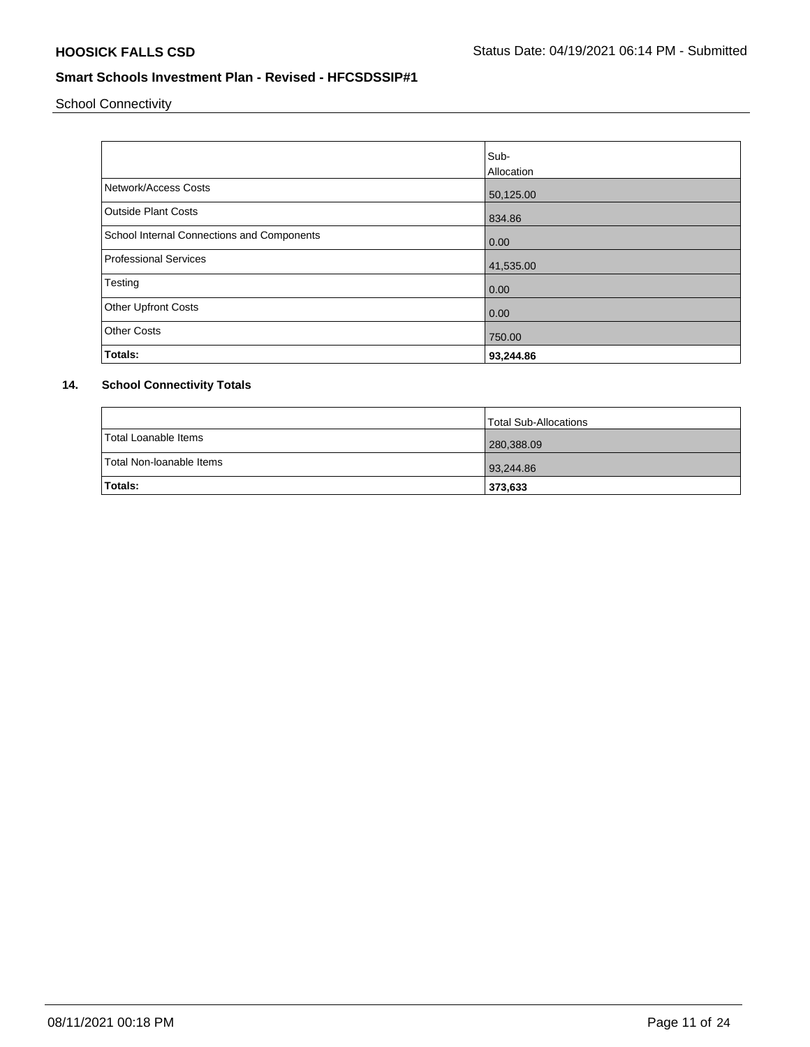School Connectivity

|                                            | Sub-       |
|--------------------------------------------|------------|
|                                            | Allocation |
| Network/Access Costs                       | 50,125.00  |
| <b>Outside Plant Costs</b>                 | 834.86     |
| School Internal Connections and Components | 0.00       |
| <b>Professional Services</b>               | 41,535.00  |
| Testing                                    | 0.00       |
| <b>Other Upfront Costs</b>                 | 0.00       |
| <b>Other Costs</b>                         | 750.00     |
| Totals:                                    | 93,244.86  |

# **14. School Connectivity Totals**

|                          | Total Sub-Allocations |
|--------------------------|-----------------------|
| Total Loanable Items     | 280,388.09            |
| Total Non-Ioanable Items | 93,244.86             |
| <b>Totals:</b>           | 373,633               |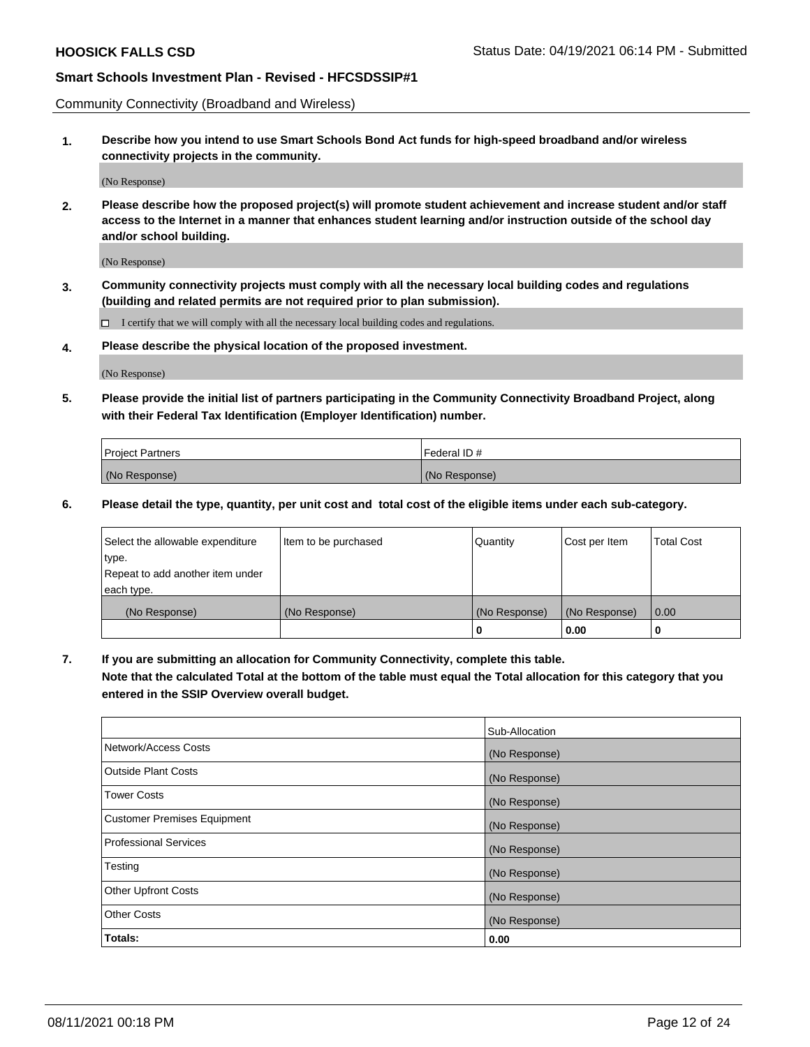Community Connectivity (Broadband and Wireless)

**1. Describe how you intend to use Smart Schools Bond Act funds for high-speed broadband and/or wireless connectivity projects in the community.**

(No Response)

**2. Please describe how the proposed project(s) will promote student achievement and increase student and/or staff access to the Internet in a manner that enhances student learning and/or instruction outside of the school day and/or school building.**

(No Response)

**3. Community connectivity projects must comply with all the necessary local building codes and regulations (building and related permits are not required prior to plan submission).**

 $\Box$  I certify that we will comply with all the necessary local building codes and regulations.

**4. Please describe the physical location of the proposed investment.**

(No Response)

**5. Please provide the initial list of partners participating in the Community Connectivity Broadband Project, along with their Federal Tax Identification (Employer Identification) number.**

| <b>Project Partners</b> | l Federal ID # |
|-------------------------|----------------|
| (No Response)           | (No Response)  |

**6. Please detail the type, quantity, per unit cost and total cost of the eligible items under each sub-category.**

| Select the allowable expenditure | Item to be purchased | Quantity      | Cost per Item | <b>Total Cost</b> |
|----------------------------------|----------------------|---------------|---------------|-------------------|
| type.                            |                      |               |               |                   |
| Repeat to add another item under |                      |               |               |                   |
| each type.                       |                      |               |               |                   |
| (No Response)                    | (No Response)        | (No Response) | (No Response) | 0.00              |
|                                  |                      | o             | 0.00          |                   |

**7. If you are submitting an allocation for Community Connectivity, complete this table.**

**Note that the calculated Total at the bottom of the table must equal the Total allocation for this category that you entered in the SSIP Overview overall budget.**

|                                    | Sub-Allocation |
|------------------------------------|----------------|
| Network/Access Costs               | (No Response)  |
| Outside Plant Costs                | (No Response)  |
| <b>Tower Costs</b>                 | (No Response)  |
| <b>Customer Premises Equipment</b> | (No Response)  |
| <b>Professional Services</b>       | (No Response)  |
| Testing                            | (No Response)  |
| <b>Other Upfront Costs</b>         | (No Response)  |
| <b>Other Costs</b>                 | (No Response)  |
| Totals:                            | 0.00           |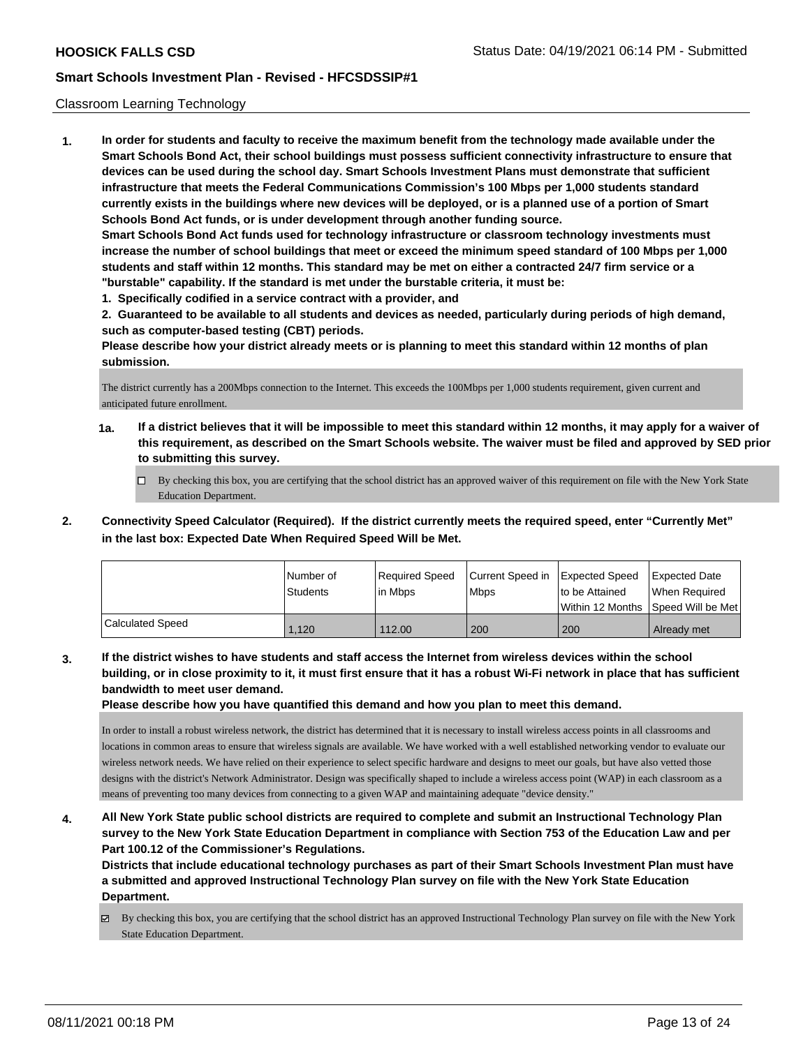#### Classroom Learning Technology

**1. In order for students and faculty to receive the maximum benefit from the technology made available under the Smart Schools Bond Act, their school buildings must possess sufficient connectivity infrastructure to ensure that devices can be used during the school day. Smart Schools Investment Plans must demonstrate that sufficient infrastructure that meets the Federal Communications Commission's 100 Mbps per 1,000 students standard currently exists in the buildings where new devices will be deployed, or is a planned use of a portion of Smart Schools Bond Act funds, or is under development through another funding source. Smart Schools Bond Act funds used for technology infrastructure or classroom technology investments must increase the number of school buildings that meet or exceed the minimum speed standard of 100 Mbps per 1,000 students and staff within 12 months. This standard may be met on either a contracted 24/7 firm service or a "burstable" capability. If the standard is met under the burstable criteria, it must be:**

**1. Specifically codified in a service contract with a provider, and**

**2. Guaranteed to be available to all students and devices as needed, particularly during periods of high demand, such as computer-based testing (CBT) periods.**

**Please describe how your district already meets or is planning to meet this standard within 12 months of plan submission.**

The district currently has a 200Mbps connection to the Internet. This exceeds the 100Mbps per 1,000 students requirement, given current and anticipated future enrollment.

- **1a. If a district believes that it will be impossible to meet this standard within 12 months, it may apply for a waiver of this requirement, as described on the Smart Schools website. The waiver must be filed and approved by SED prior to submitting this survey.**
	- By checking this box, you are certifying that the school district has an approved waiver of this requirement on file with the New York State Education Department.
- **2. Connectivity Speed Calculator (Required). If the district currently meets the required speed, enter "Currently Met" in the last box: Expected Date When Required Speed Will be Met.**

|                  | l Number of<br><b>Students</b> | Required Speed<br>l in Mbps | Current Speed in<br><b>Mbps</b> | <b>Expected Speed</b><br>to be Attained | <b>Expected Date</b><br>When Required<br> Within 12 Months  Speed Will be Met |
|------------------|--------------------------------|-----------------------------|---------------------------------|-----------------------------------------|-------------------------------------------------------------------------------|
| Calculated Speed | 1.120                          | 112.00                      | 200                             | 200                                     | Already met                                                                   |

**3. If the district wishes to have students and staff access the Internet from wireless devices within the school building, or in close proximity to it, it must first ensure that it has a robust Wi-Fi network in place that has sufficient bandwidth to meet user demand.**

**Please describe how you have quantified this demand and how you plan to meet this demand.**

In order to install a robust wireless network, the district has determined that it is necessary to install wireless access points in all classrooms and locations in common areas to ensure that wireless signals are available. We have worked with a well established networking vendor to evaluate our wireless network needs. We have relied on their experience to select specific hardware and designs to meet our goals, but have also vetted those designs with the district's Network Administrator. Design was specifically shaped to include a wireless access point (WAP) in each classroom as a means of preventing too many devices from connecting to a given WAP and maintaining adequate "device density."

**4. All New York State public school districts are required to complete and submit an Instructional Technology Plan survey to the New York State Education Department in compliance with Section 753 of the Education Law and per Part 100.12 of the Commissioner's Regulations.**

**Districts that include educational technology purchases as part of their Smart Schools Investment Plan must have a submitted and approved Instructional Technology Plan survey on file with the New York State Education Department.**

 $\boxtimes$  By checking this box, you are certifying that the school district has an approved Instructional Technology Plan survey on file with the New York State Education Department.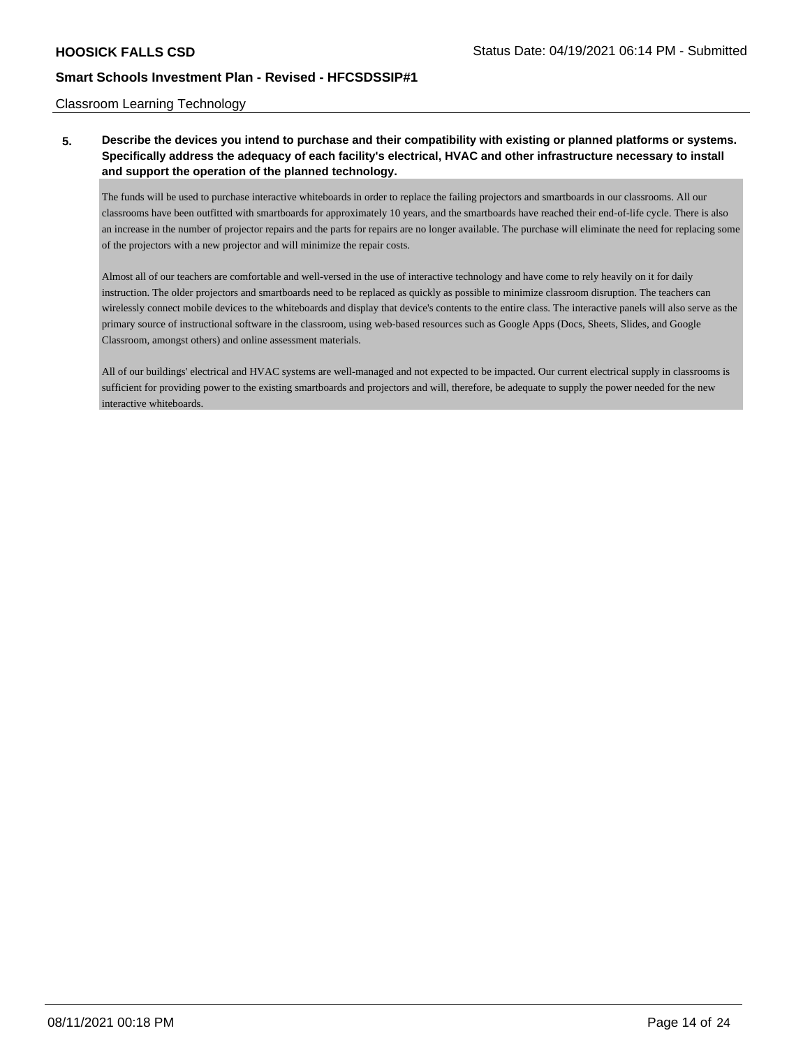#### Classroom Learning Technology

# **5. Describe the devices you intend to purchase and their compatibility with existing or planned platforms or systems. Specifically address the adequacy of each facility's electrical, HVAC and other infrastructure necessary to install and support the operation of the planned technology.**

The funds will be used to purchase interactive whiteboards in order to replace the failing projectors and smartboards in our classrooms. All our classrooms have been outfitted with smartboards for approximately 10 years, and the smartboards have reached their end-of-life cycle. There is also an increase in the number of projector repairs and the parts for repairs are no longer available. The purchase will eliminate the need for replacing some of the projectors with a new projector and will minimize the repair costs.

Almost all of our teachers are comfortable and well-versed in the use of interactive technology and have come to rely heavily on it for daily instruction. The older projectors and smartboards need to be replaced as quickly as possible to minimize classroom disruption. The teachers can wirelessly connect mobile devices to the whiteboards and display that device's contents to the entire class. The interactive panels will also serve as the primary source of instructional software in the classroom, using web-based resources such as Google Apps (Docs, Sheets, Slides, and Google Classroom, amongst others) and online assessment materials.

All of our buildings' electrical and HVAC systems are well-managed and not expected to be impacted. Our current electrical supply in classrooms is sufficient for providing power to the existing smartboards and projectors and will, therefore, be adequate to supply the power needed for the new interactive whiteboards.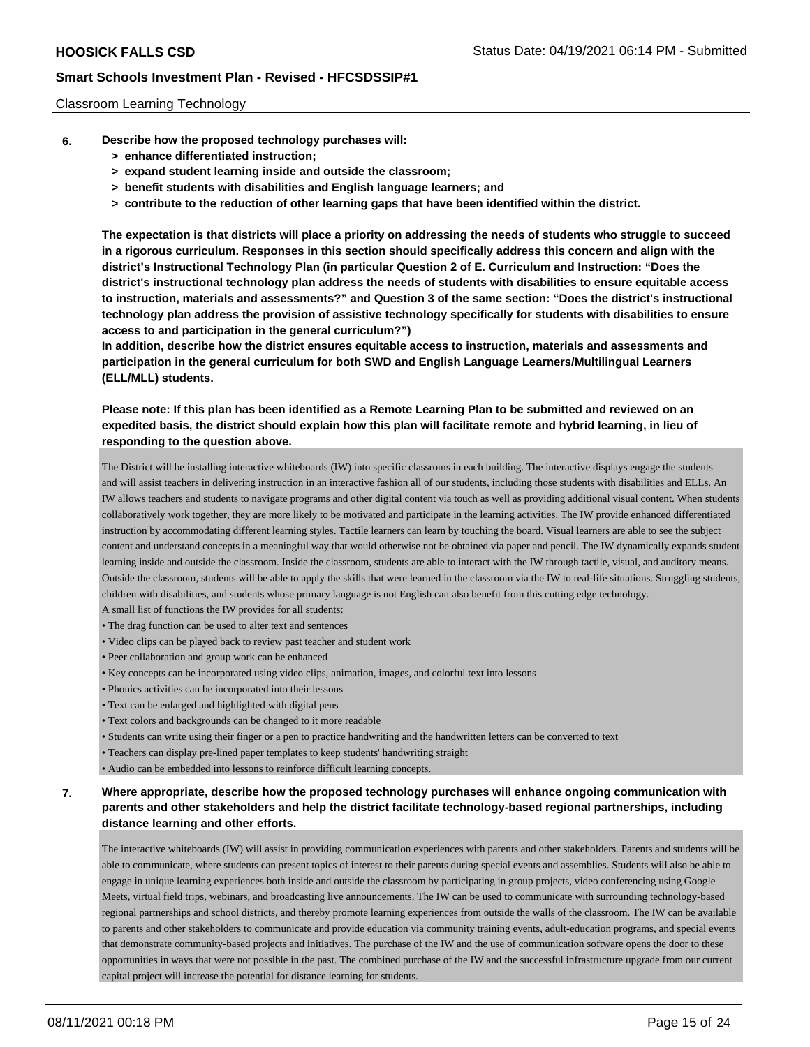#### Classroom Learning Technology

- **6. Describe how the proposed technology purchases will:**
	- **> enhance differentiated instruction;**
	- **> expand student learning inside and outside the classroom;**
	- **> benefit students with disabilities and English language learners; and**
	- **> contribute to the reduction of other learning gaps that have been identified within the district.**

**The expectation is that districts will place a priority on addressing the needs of students who struggle to succeed in a rigorous curriculum. Responses in this section should specifically address this concern and align with the district's Instructional Technology Plan (in particular Question 2 of E. Curriculum and Instruction: "Does the district's instructional technology plan address the needs of students with disabilities to ensure equitable access to instruction, materials and assessments?" and Question 3 of the same section: "Does the district's instructional technology plan address the provision of assistive technology specifically for students with disabilities to ensure access to and participation in the general curriculum?")**

**In addition, describe how the district ensures equitable access to instruction, materials and assessments and participation in the general curriculum for both SWD and English Language Learners/Multilingual Learners (ELL/MLL) students.**

**Please note: If this plan has been identified as a Remote Learning Plan to be submitted and reviewed on an expedited basis, the district should explain how this plan will facilitate remote and hybrid learning, in lieu of responding to the question above.**

The District will be installing interactive whiteboards (IW) into specific classroms in each building. The interactive displays engage the students and will assist teachers in delivering instruction in an interactive fashion all of our students, including those students with disabilities and ELLs. An IW allows teachers and students to navigate programs and other digital content via touch as well as providing additional visual content. When students collaboratively work together, they are more likely to be motivated and participate in the learning activities. The IW provide enhanced differentiated instruction by accommodating different learning styles. Tactile learners can learn by touching the board. Visual learners are able to see the subject content and understand concepts in a meaningful way that would otherwise not be obtained via paper and pencil. The IW dynamically expands student learning inside and outside the classroom. Inside the classroom, students are able to interact with the IW through tactile, visual, and auditory means. Outside the classroom, students will be able to apply the skills that were learned in the classroom via the IW to real-life situations. Struggling students, children with disabilities, and students whose primary language is not English can also benefit from this cutting edge technology. A small list of functions the IW provides for all students:

- The drag function can be used to alter text and sentences
- Video clips can be played back to review past teacher and student work
- Peer collaboration and group work can be enhanced
- Key concepts can be incorporated using video clips, animation, images, and colorful text into lessons
- Phonics activities can be incorporated into their lessons
- Text can be enlarged and highlighted with digital pens
- Text colors and backgrounds can be changed to it more readable
- Students can write using their finger or a pen to practice handwriting and the handwritten letters can be converted to text
- Teachers can display pre-lined paper templates to keep students' handwriting straight

• Audio can be embedded into lessons to reinforce difficult learning concepts.

## **7. Where appropriate, describe how the proposed technology purchases will enhance ongoing communication with parents and other stakeholders and help the district facilitate technology-based regional partnerships, including distance learning and other efforts.**

The interactive whiteboards (IW) will assist in providing communication experiences with parents and other stakeholders. Parents and students will be able to communicate, where students can present topics of interest to their parents during special events and assemblies. Students will also be able to engage in unique learning experiences both inside and outside the classroom by participating in group projects, video conferencing using Google Meets, virtual field trips, webinars, and broadcasting live announcements. The IW can be used to communicate with surrounding technology-based regional partnerships and school districts, and thereby promote learning experiences from outside the walls of the classroom. The IW can be available to parents and other stakeholders to communicate and provide education via community training events, adult-education programs, and special events that demonstrate community-based projects and initiatives. The purchase of the IW and the use of communication software opens the door to these opportunities in ways that were not possible in the past. The combined purchase of the IW and the successful infrastructure upgrade from our current capital project will increase the potential for distance learning for students.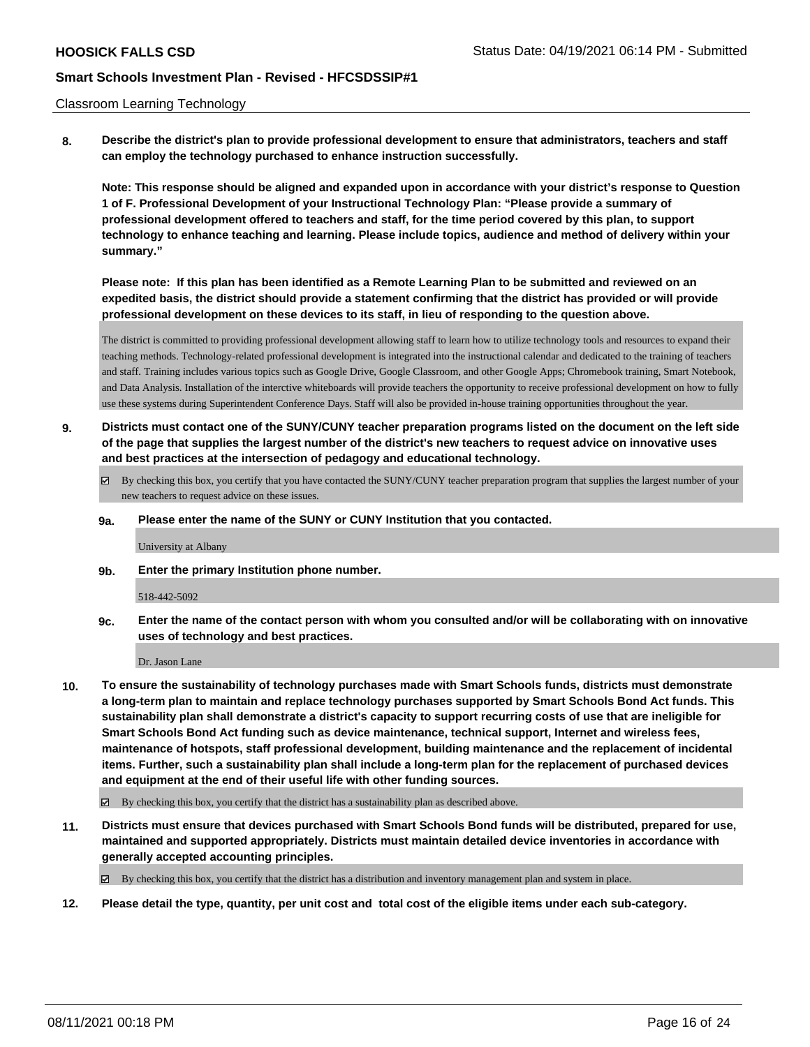#### Classroom Learning Technology

**8. Describe the district's plan to provide professional development to ensure that administrators, teachers and staff can employ the technology purchased to enhance instruction successfully.**

**Note: This response should be aligned and expanded upon in accordance with your district's response to Question 1 of F. Professional Development of your Instructional Technology Plan: "Please provide a summary of professional development offered to teachers and staff, for the time period covered by this plan, to support technology to enhance teaching and learning. Please include topics, audience and method of delivery within your summary."**

**Please note: If this plan has been identified as a Remote Learning Plan to be submitted and reviewed on an expedited basis, the district should provide a statement confirming that the district has provided or will provide professional development on these devices to its staff, in lieu of responding to the question above.**

The district is committed to providing professional development allowing staff to learn how to utilize technology tools and resources to expand their teaching methods. Technology-related professional development is integrated into the instructional calendar and dedicated to the training of teachers and staff. Training includes various topics such as Google Drive, Google Classroom, and other Google Apps; Chromebook training, Smart Notebook, and Data Analysis. Installation of the interctive whiteboards will provide teachers the opportunity to receive professional development on how to fully use these systems during Superintendent Conference Days. Staff will also be provided in-house training opportunities throughout the year.

- **9. Districts must contact one of the SUNY/CUNY teacher preparation programs listed on the document on the left side of the page that supplies the largest number of the district's new teachers to request advice on innovative uses and best practices at the intersection of pedagogy and educational technology.**
	- By checking this box, you certify that you have contacted the SUNY/CUNY teacher preparation program that supplies the largest number of your new teachers to request advice on these issues.

#### **9a. Please enter the name of the SUNY or CUNY Institution that you contacted.**

University at Albany

**9b. Enter the primary Institution phone number.**

#### 518-442-5092

**9c. Enter the name of the contact person with whom you consulted and/or will be collaborating with on innovative uses of technology and best practices.**

Dr. Jason Lane

- **10. To ensure the sustainability of technology purchases made with Smart Schools funds, districts must demonstrate a long-term plan to maintain and replace technology purchases supported by Smart Schools Bond Act funds. This sustainability plan shall demonstrate a district's capacity to support recurring costs of use that are ineligible for Smart Schools Bond Act funding such as device maintenance, technical support, Internet and wireless fees, maintenance of hotspots, staff professional development, building maintenance and the replacement of incidental items. Further, such a sustainability plan shall include a long-term plan for the replacement of purchased devices and equipment at the end of their useful life with other funding sources.**
	- $\boxtimes$  By checking this box, you certify that the district has a sustainability plan as described above.
- **11. Districts must ensure that devices purchased with Smart Schools Bond funds will be distributed, prepared for use, maintained and supported appropriately. Districts must maintain detailed device inventories in accordance with generally accepted accounting principles.**

By checking this box, you certify that the district has a distribution and inventory management plan and system in place.

**12. Please detail the type, quantity, per unit cost and total cost of the eligible items under each sub-category.**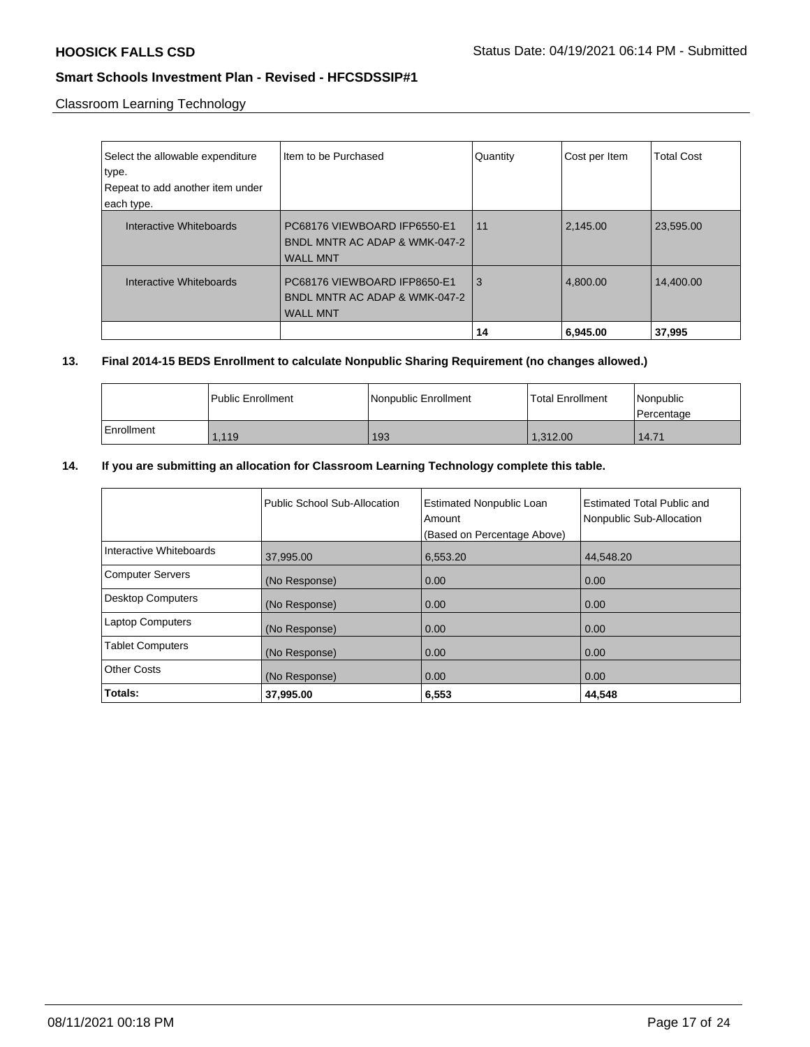Classroom Learning Technology

| Select the allowable expenditure<br>type.<br>Repeat to add another item under<br>each type. | Item to be Purchased                                                             | Quantity | Cost per Item | Total Cost |
|---------------------------------------------------------------------------------------------|----------------------------------------------------------------------------------|----------|---------------|------------|
| Interactive Whiteboards                                                                     | PC68176 VIEWBOARD IFP6550-E1<br>BNDL MNTR AC ADAP & WMK-047-2<br><b>WALL MNT</b> | 11       | 2,145.00      | 23,595.00  |
| Interactive Whiteboards                                                                     | PC68176 VIEWBOARD IFP8650-E1<br>BNDL MNTR AC ADAP & WMK-047-2<br><b>WALL MNT</b> | 3        | 4,800.00      | 14,400.00  |
|                                                                                             |                                                                                  | 14       | 6,945.00      | 37,995     |

## **13. Final 2014-15 BEDS Enrollment to calculate Nonpublic Sharing Requirement (no changes allowed.)**

|            | l Public Enrollment | Nonpublic Enrollment | <b>Total Enrollment</b> | l Nonpublic<br>l Percentage |
|------------|---------------------|----------------------|-------------------------|-----------------------------|
| Enrollment | .119                | 193                  | 1.312.00                | 14.71                       |

# **14. If you are submitting an allocation for Classroom Learning Technology complete this table.**

|                          | Public School Sub-Allocation | <b>Estimated Nonpublic Loan</b><br>Amount<br>(Based on Percentage Above) | Estimated Total Public and<br>Nonpublic Sub-Allocation |
|--------------------------|------------------------------|--------------------------------------------------------------------------|--------------------------------------------------------|
| Interactive Whiteboards  | 37,995.00                    | 6,553.20                                                                 | 44,548.20                                              |
| <b>Computer Servers</b>  | (No Response)                | 0.00                                                                     | 0.00                                                   |
| <b>Desktop Computers</b> | (No Response)                | 0.00                                                                     | 0.00                                                   |
| <b>Laptop Computers</b>  | (No Response)                | 0.00                                                                     | 0.00                                                   |
| <b>Tablet Computers</b>  | (No Response)                | 0.00                                                                     | 0.00                                                   |
| <b>Other Costs</b>       | (No Response)                | 0.00                                                                     | 0.00                                                   |
| Totals:                  | 37,995.00                    | 6,553                                                                    | 44,548                                                 |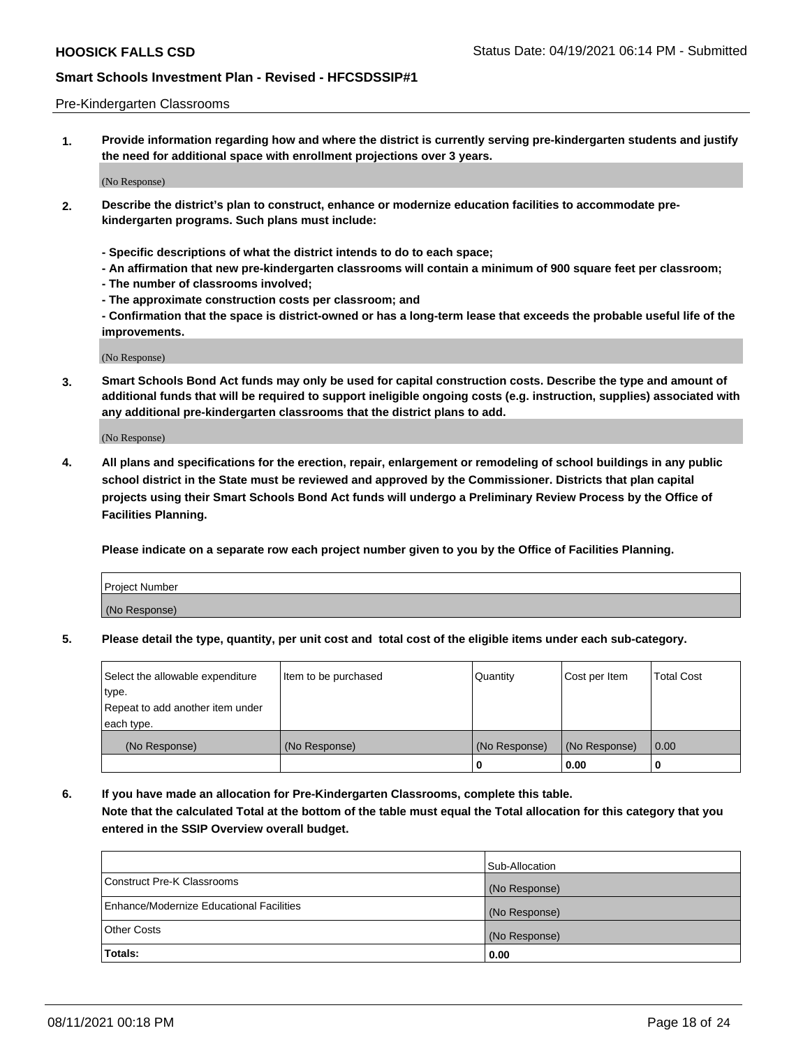#### Pre-Kindergarten Classrooms

**1. Provide information regarding how and where the district is currently serving pre-kindergarten students and justify the need for additional space with enrollment projections over 3 years.**

(No Response)

- **2. Describe the district's plan to construct, enhance or modernize education facilities to accommodate prekindergarten programs. Such plans must include:**
	- **Specific descriptions of what the district intends to do to each space;**
	- **An affirmation that new pre-kindergarten classrooms will contain a minimum of 900 square feet per classroom;**
	- **The number of classrooms involved;**
	- **The approximate construction costs per classroom; and**
	- **Confirmation that the space is district-owned or has a long-term lease that exceeds the probable useful life of the improvements.**

(No Response)

**3. Smart Schools Bond Act funds may only be used for capital construction costs. Describe the type and amount of additional funds that will be required to support ineligible ongoing costs (e.g. instruction, supplies) associated with any additional pre-kindergarten classrooms that the district plans to add.**

(No Response)

**4. All plans and specifications for the erection, repair, enlargement or remodeling of school buildings in any public school district in the State must be reviewed and approved by the Commissioner. Districts that plan capital projects using their Smart Schools Bond Act funds will undergo a Preliminary Review Process by the Office of Facilities Planning.**

**Please indicate on a separate row each project number given to you by the Office of Facilities Planning.**

| Project Number |  |
|----------------|--|
| (No Response)  |  |
|                |  |

**5. Please detail the type, quantity, per unit cost and total cost of the eligible items under each sub-category.**

| Select the allowable expenditure | Item to be purchased | Quantity      | Cost per Item | <b>Total Cost</b> |
|----------------------------------|----------------------|---------------|---------------|-------------------|
| type.                            |                      |               |               |                   |
| Repeat to add another item under |                      |               |               |                   |
| each type.                       |                      |               |               |                   |
| (No Response)                    | (No Response)        | (No Response) | (No Response) | 0.00              |
|                                  |                      | υ             | 0.00          |                   |

**6. If you have made an allocation for Pre-Kindergarten Classrooms, complete this table. Note that the calculated Total at the bottom of the table must equal the Total allocation for this category that you entered in the SSIP Overview overall budget.**

|                                          | Sub-Allocation |
|------------------------------------------|----------------|
| Construct Pre-K Classrooms               | (No Response)  |
| Enhance/Modernize Educational Facilities | (No Response)  |
| <b>Other Costs</b>                       | (No Response)  |
| Totals:                                  | 0.00           |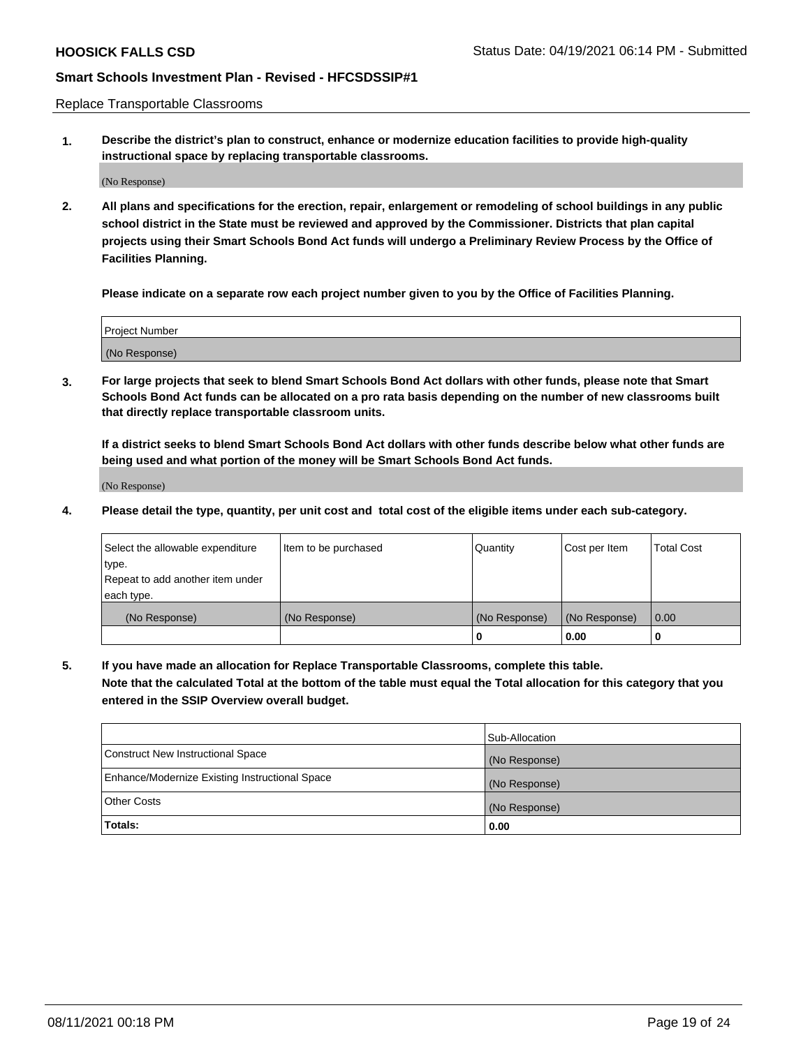Replace Transportable Classrooms

**1. Describe the district's plan to construct, enhance or modernize education facilities to provide high-quality instructional space by replacing transportable classrooms.**

(No Response)

**2. All plans and specifications for the erection, repair, enlargement or remodeling of school buildings in any public school district in the State must be reviewed and approved by the Commissioner. Districts that plan capital projects using their Smart Schools Bond Act funds will undergo a Preliminary Review Process by the Office of Facilities Planning.**

**Please indicate on a separate row each project number given to you by the Office of Facilities Planning.**

| Project Number |  |
|----------------|--|
|                |  |
|                |  |
|                |  |
| (No Response)  |  |
|                |  |
|                |  |

**3. For large projects that seek to blend Smart Schools Bond Act dollars with other funds, please note that Smart Schools Bond Act funds can be allocated on a pro rata basis depending on the number of new classrooms built that directly replace transportable classroom units.**

**If a district seeks to blend Smart Schools Bond Act dollars with other funds describe below what other funds are being used and what portion of the money will be Smart Schools Bond Act funds.**

(No Response)

**4. Please detail the type, quantity, per unit cost and total cost of the eligible items under each sub-category.**

| Select the allowable expenditure | Item to be purchased | Quantity      | Cost per Item | Total Cost |
|----------------------------------|----------------------|---------------|---------------|------------|
| ∣type.                           |                      |               |               |            |
| Repeat to add another item under |                      |               |               |            |
| each type.                       |                      |               |               |            |
| (No Response)                    | (No Response)        | (No Response) | (No Response) | 0.00       |
|                                  |                      | u             | 0.00          |            |

**5. If you have made an allocation for Replace Transportable Classrooms, complete this table. Note that the calculated Total at the bottom of the table must equal the Total allocation for this category that you entered in the SSIP Overview overall budget.**

|                                                | Sub-Allocation |
|------------------------------------------------|----------------|
| Construct New Instructional Space              | (No Response)  |
| Enhance/Modernize Existing Instructional Space | (No Response)  |
| Other Costs                                    | (No Response)  |
| Totals:                                        | 0.00           |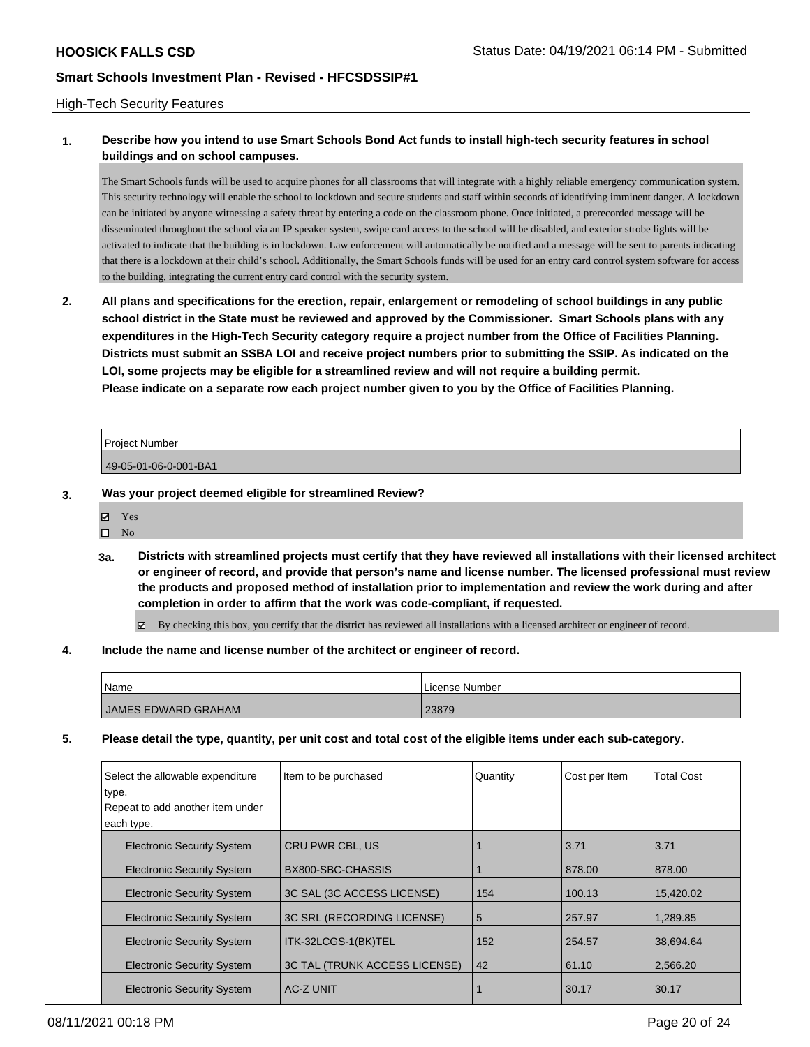#### High-Tech Security Features

## **1. Describe how you intend to use Smart Schools Bond Act funds to install high-tech security features in school buildings and on school campuses.**

The Smart Schools funds will be used to acquire phones for all classrooms that will integrate with a highly reliable emergency communication system. This security technology will enable the school to lockdown and secure students and staff within seconds of identifying imminent danger. A lockdown can be initiated by anyone witnessing a safety threat by entering a code on the classroom phone. Once initiated, a prerecorded message will be disseminated throughout the school via an IP speaker system, swipe card access to the school will be disabled, and exterior strobe lights will be activated to indicate that the building is in lockdown. Law enforcement will automatically be notified and a message will be sent to parents indicating that there is a lockdown at their child's school. Additionally, the Smart Schools funds will be used for an entry card control system software for access to the building, integrating the current entry card control with the security system.

**2. All plans and specifications for the erection, repair, enlargement or remodeling of school buildings in any public school district in the State must be reviewed and approved by the Commissioner. Smart Schools plans with any expenditures in the High-Tech Security category require a project number from the Office of Facilities Planning. Districts must submit an SSBA LOI and receive project numbers prior to submitting the SSIP. As indicated on the LOI, some projects may be eligible for a streamlined review and will not require a building permit. Please indicate on a separate row each project number given to you by the Office of Facilities Planning.**

| <b>Project Number</b> |  |
|-----------------------|--|
| 49-05-01-06-0-001-BA1 |  |

#### **3. Was your project deemed eligible for streamlined Review?**

Yes

 $\square$  No

**3a. Districts with streamlined projects must certify that they have reviewed all installations with their licensed architect or engineer of record, and provide that person's name and license number. The licensed professional must review the products and proposed method of installation prior to implementation and review the work during and after completion in order to affirm that the work was code-compliant, if requested.**

By checking this box, you certify that the district has reviewed all installations with a licensed architect or engineer of record.

#### **4. Include the name and license number of the architect or engineer of record.**

| Name                | l License Number |
|---------------------|------------------|
| JAMES EDWARD GRAHAM | 23879            |

**5. Please detail the type, quantity, per unit cost and total cost of the eligible items under each sub-category.**

| Select the allowable expenditure<br>type.                       | Item to be purchased                | Quantity | Cost per Item | <b>Total Cost</b> |
|-----------------------------------------------------------------|-------------------------------------|----------|---------------|-------------------|
| Repeat to add another item under                                |                                     |          |               |                   |
| each type.                                                      |                                     |          |               |                   |
| <b>Electronic Security System</b>                               | <b>CRU PWR CBL, US</b>              |          | 3.71          | 3.71              |
| BX800-SBC-CHASSIS<br><b>Electronic Security System</b>          |                                     |          | 878.00        | 878.00            |
| <b>Electronic Security System</b>                               | 154<br>3C SAL (3C ACCESS LICENSE)   |          | 100.13        | 15.420.02         |
| 3C SRL (RECORDING LICENSE)<br><b>Electronic Security System</b> |                                     | 5        | 257.97        | 1.289.85          |
| <b>Electronic Security System</b><br>ITK-32LCGS-1(BK)TEL        |                                     | 152      | 254.57        | 38.694.64         |
| <b>Electronic Security System</b>                               | 3C TAL (TRUNK ACCESS LICENSE)<br>42 |          | 61.10         | 2,566.20          |
| <b>AC-Z UNIT</b><br><b>Electronic Security System</b>           |                                     |          | 30.17         | 30.17             |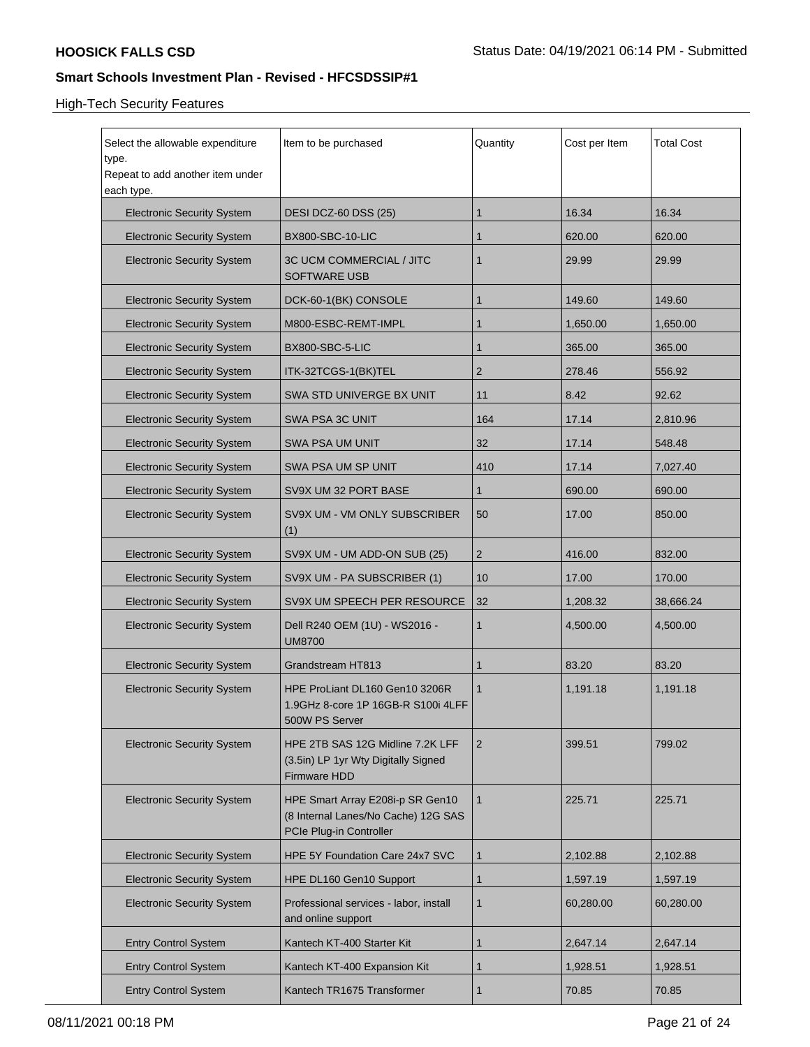# High-Tech Security Features

| Select the allowable expenditure<br>type.<br>Repeat to add another item under<br>each type.                                             | Item to be purchased                                         | Quantity | Cost per Item | <b>Total Cost</b> |
|-----------------------------------------------------------------------------------------------------------------------------------------|--------------------------------------------------------------|----------|---------------|-------------------|
| <b>Electronic Security System</b>                                                                                                       | <b>DESI DCZ-60 DSS (25)</b>                                  | 1        | 16.34         | 16.34             |
| <b>Electronic Security System</b>                                                                                                       | <b>BX800-SBC-10-LIC</b>                                      | 1        | 620.00        | 620.00            |
| <b>Electronic Security System</b>                                                                                                       | 3C UCM COMMERCIAL / JITC<br><b>SOFTWARE USB</b>              | 1        | 29.99         | 29.99             |
| <b>Electronic Security System</b>                                                                                                       | DCK-60-1(BK) CONSOLE                                         | 1        | 149.60        | 149.60            |
| <b>Electronic Security System</b>                                                                                                       | M800-ESBC-REMT-IMPL                                          | 1        | 1,650.00      | 1,650.00          |
| <b>Electronic Security System</b>                                                                                                       | BX800-SBC-5-LIC                                              | 1        | 365.00        | 365.00            |
| <b>Electronic Security System</b>                                                                                                       | ITK-32TCGS-1(BK)TEL                                          | 2        | 278.46        | 556.92            |
| <b>Electronic Security System</b>                                                                                                       | SWA STD UNIVERGE BX UNIT                                     | 11       | 8.42          | 92.62             |
| <b>Electronic Security System</b>                                                                                                       | SWA PSA 3C UNIT                                              | 164      | 17.14         | 2,810.96          |
| <b>Electronic Security System</b>                                                                                                       | SWA PSA UM UNIT                                              | 32       | 17.14         | 548.48            |
| <b>Electronic Security System</b>                                                                                                       | SWA PSA UM SP UNIT                                           | 410      | 17.14         | 7,027.40          |
| <b>Electronic Security System</b>                                                                                                       | SV9X UM 32 PORT BASE<br>1                                    |          | 690.00        | 690.00            |
| <b>Electronic Security System</b><br>SV9X UM - VM ONLY SUBSCRIBER<br>(1)                                                                |                                                              | 50       | 17.00         | 850.00            |
| <b>Electronic Security System</b>                                                                                                       | 2<br>SV9X UM - UM ADD-ON SUB (25)                            |          | 416.00        | 832.00            |
| <b>Electronic Security System</b>                                                                                                       | SV9X UM - PA SUBSCRIBER (1)<br>10                            |          | 17.00         | 170.00            |
| <b>Electronic Security System</b>                                                                                                       | 32<br>SV9X UM SPEECH PER RESOURCE                            |          | 1,208.32      | 38,666.24         |
| <b>Electronic Security System</b>                                                                                                       | Dell R240 OEM (1U) - WS2016 -<br><b>UM8700</b>               |          | 4,500.00      | 4,500.00          |
| <b>Electronic Security System</b>                                                                                                       | Grandstream HT813                                            | 1        | 83.20         | 83.20             |
| <b>Electronic Security System</b><br>HPE ProLiant DL160 Gen10 3206R<br>1.9GHz 8-core 1P 16GB-R S100i 4LFF<br>500W PS Server             |                                                              | 1        | 1,191.18      | 1,191.18          |
| <b>Electronic Security System</b><br>HPE 2TB SAS 12G Midline 7.2K LFF<br>(3.5in) LP 1yr Wty Digitally Signed<br>Firmware HDD            |                                                              | 2        | 399.51        | 799.02            |
| HPE Smart Array E208i-p SR Gen10<br><b>Electronic Security System</b><br>(8 Internal Lanes/No Cache) 12G SAS<br>PCIe Plug-in Controller |                                                              | 1        | 225.71        | 225.71            |
| <b>Electronic Security System</b>                                                                                                       | HPE 5Y Foundation Care 24x7 SVC                              | 1        | 2,102.88      | 2,102.88          |
| <b>Electronic Security System</b>                                                                                                       | HPE DL160 Gen10 Support                                      | 1        | 1,597.19      | 1,597.19          |
| <b>Electronic Security System</b>                                                                                                       | Professional services - labor, install<br>and online support |          | 60,280.00     | 60,280.00         |
| <b>Entry Control System</b>                                                                                                             | Kantech KT-400 Starter Kit                                   | 1        | 2,647.14      | 2,647.14          |
| <b>Entry Control System</b>                                                                                                             | Kantech KT-400 Expansion Kit                                 | 1        | 1,928.51      | 1,928.51          |
| <b>Entry Control System</b><br>Kantech TR1675 Transformer                                                                               |                                                              | 1        | 70.85         | 70.85             |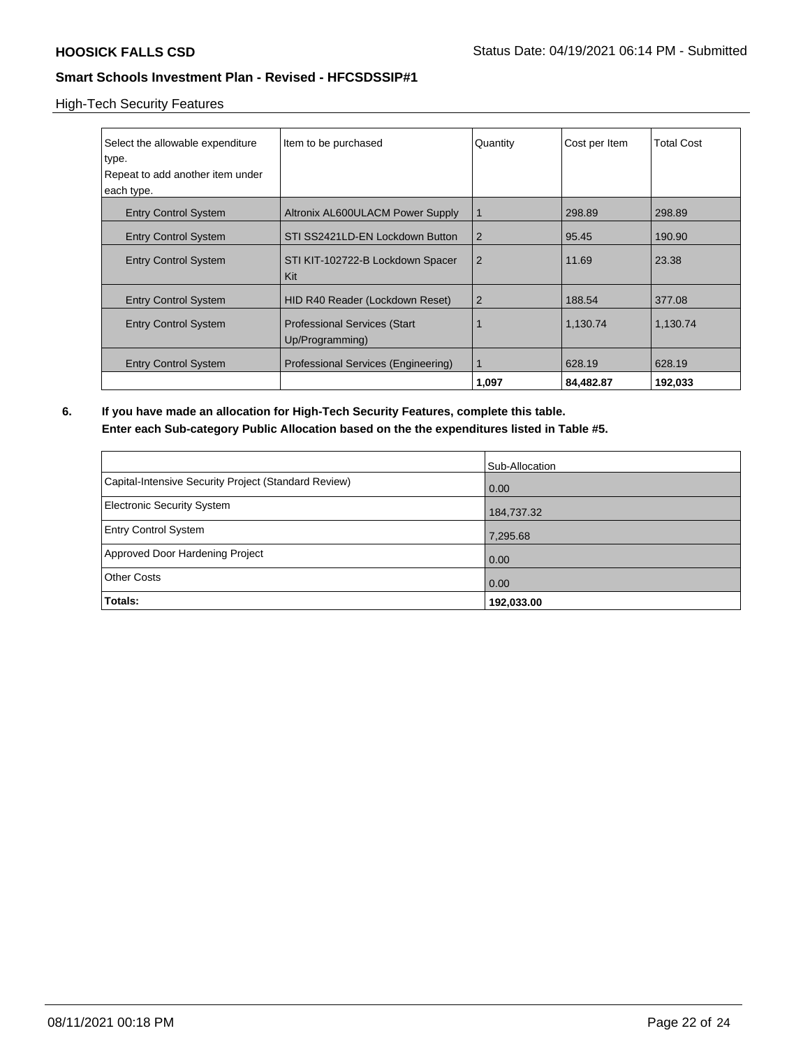### High-Tech Security Features

| Select the allowable expenditure                                                      | Item to be purchased                | Quantity       | Cost per Item | <b>Total Cost</b> |
|---------------------------------------------------------------------------------------|-------------------------------------|----------------|---------------|-------------------|
| type.<br>Repeat to add another item under                                             |                                     |                |               |                   |
| each type.                                                                            |                                     |                |               |                   |
| <b>Entry Control System</b>                                                           | Altronix AL600ULACM Power Supply    | $\mathbf 1$    | 298.89        | 298.89            |
| <b>Entry Control System</b>                                                           | STI SS2421LD-EN Lockdown Button     | $\overline{2}$ | 95.45         | 190.90            |
| <b>Entry Control System</b>                                                           | STI KIT-102722-B Lockdown Spacer    | $\overline{2}$ | 11.69         | 23.38             |
|                                                                                       | Kit                                 |                |               |                   |
| <b>Entry Control System</b>                                                           | HID R40 Reader (Lockdown Reset)     | $\overline{2}$ | 188.54        | 377.08            |
| <b>Entry Control System</b><br><b>Professional Services (Start</b><br>Up/Programming) |                                     |                | 1,130.74      | 1,130.74          |
| <b>Entry Control System</b>                                                           | Professional Services (Engineering) | $\mathbf 1$    | 628.19        | 628.19            |
|                                                                                       |                                     | 1,097          | 84,482.87     | 192,033           |

**6. If you have made an allocation for High-Tech Security Features, complete this table. Enter each Sub-category Public Allocation based on the the expenditures listed in Table #5.**

|                                                      | Sub-Allocation |
|------------------------------------------------------|----------------|
| Capital-Intensive Security Project (Standard Review) | 0.00           |
| Electronic Security System                           | 184,737.32     |
| <b>Entry Control System</b>                          | 7,295.68       |
| Approved Door Hardening Project                      | 0.00           |
| <b>Other Costs</b>                                   | 0.00           |
| Totals:                                              | 192,033.00     |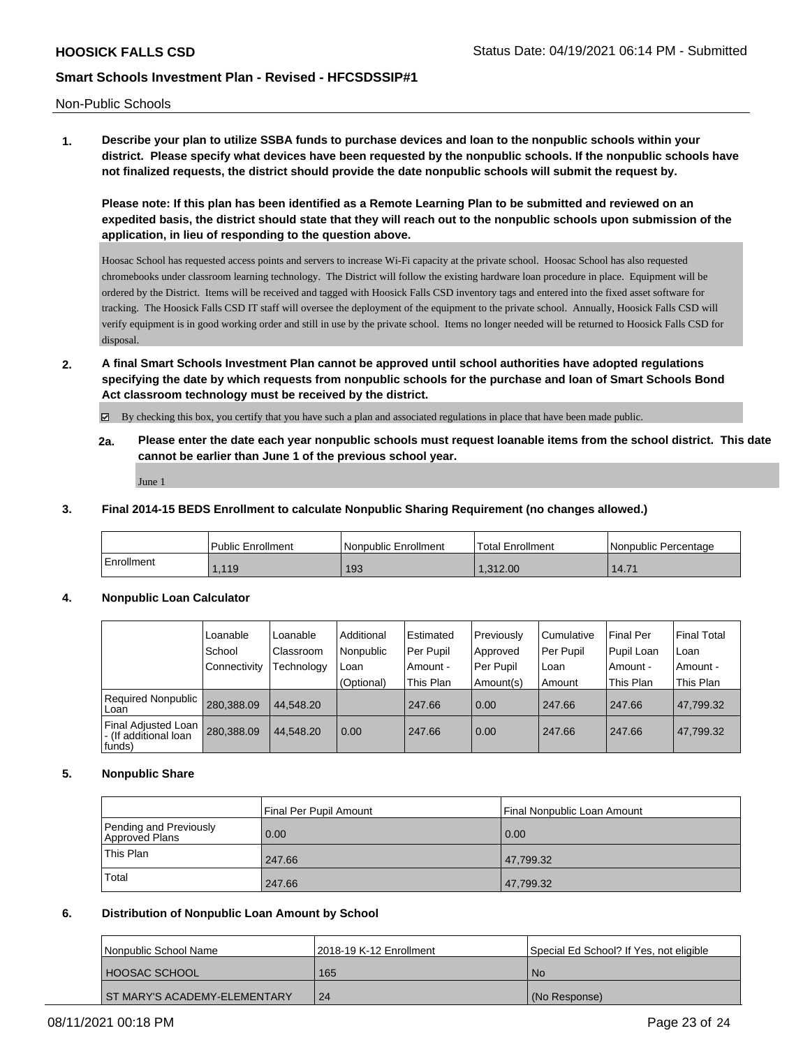Non-Public Schools

**1. Describe your plan to utilize SSBA funds to purchase devices and loan to the nonpublic schools within your district. Please specify what devices have been requested by the nonpublic schools. If the nonpublic schools have not finalized requests, the district should provide the date nonpublic schools will submit the request by.**

**Please note: If this plan has been identified as a Remote Learning Plan to be submitted and reviewed on an expedited basis, the district should state that they will reach out to the nonpublic schools upon submission of the application, in lieu of responding to the question above.**

Hoosac School has requested access points and servers to increase Wi-Fi capacity at the private school. Hoosac School has also requested chromebooks under classroom learning technology. The District will follow the existing hardware loan procedure in place. Equipment will be ordered by the District. Items will be received and tagged with Hoosick Falls CSD inventory tags and entered into the fixed asset software for tracking. The Hoosick Falls CSD IT staff will oversee the deployment of the equipment to the private school. Annually, Hoosick Falls CSD will verify equipment is in good working order and still in use by the private school. Items no longer needed will be returned to Hoosick Falls CSD for disposal.

**2. A final Smart Schools Investment Plan cannot be approved until school authorities have adopted regulations specifying the date by which requests from nonpublic schools for the purchase and loan of Smart Schools Bond Act classroom technology must be received by the district.**

By checking this box, you certify that you have such a plan and associated regulations in place that have been made public.

**2a. Please enter the date each year nonpublic schools must request loanable items from the school district. This date cannot be earlier than June 1 of the previous school year.**

June 1

#### **3. Final 2014-15 BEDS Enrollment to calculate Nonpublic Sharing Requirement (no changes allowed.)**

|            | <b>Public Enrollment</b> | Nonpublic Enrollment | <sup>1</sup> Total Enrollment | Nonpublic Percentage |
|------------|--------------------------|----------------------|-------------------------------|----------------------|
| Enrollment | 1.119                    | 193                  | 1.312.00                      | 14.71                |

#### **4. Nonpublic Loan Calculator**

|                                                         | Loanable     | Loanable   | Additional | Estimated | Previously | l Cumulative | <b>Final Per</b> | <b>Final Total</b> |
|---------------------------------------------------------|--------------|------------|------------|-----------|------------|--------------|------------------|--------------------|
|                                                         | School       | Classroom  | Nonpublic  | Per Pupil | Approved   | Per Pupil    | Pupil Loan       | l Loan             |
|                                                         | Connectivity | Technology | Loan       | Amount -  | Per Pupil  | l Loan       | Amount -         | l Amount -         |
|                                                         |              |            | (Optional) | This Plan | Amount(s)  | l Amount     | This Plan        | This Plan          |
| Required Nonpublic<br>l Loan                            | 280.388.09   | 44.548.20  |            | 247.66    | 0.00       | 247.66       | 247.66           | 47.799.32          |
| Final Adjusted Loan<br>- (If additional loan<br> funds) | 280,388.09   | 44.548.20  | 0.00       | 247.66    | 0.00       | 247.66       | 247.66           | 47,799.32          |

#### **5. Nonpublic Share**

|                                          | Final Per Pupil Amount | Final Nonpublic Loan Amount |
|------------------------------------------|------------------------|-----------------------------|
| Pending and Previously<br>Approved Plans | 0.00                   | 0.00                        |
| This Plan                                | 247.66                 | 47,799.32                   |
| Total                                    | 247.66                 | 47,799.32                   |

#### **6. Distribution of Nonpublic Loan Amount by School**

| <b>Nonpublic School Name</b>   | 12018-19 K-12 Enrollment | Special Ed School? If Yes, not eligible |
|--------------------------------|--------------------------|-----------------------------------------|
| <b>HOOSAC SCHOOL</b>           | 165                      | N <sub>o</sub>                          |
| ' ST MARY'S ACADEMY-ELEMENTARY | 24                       | (No Response)                           |